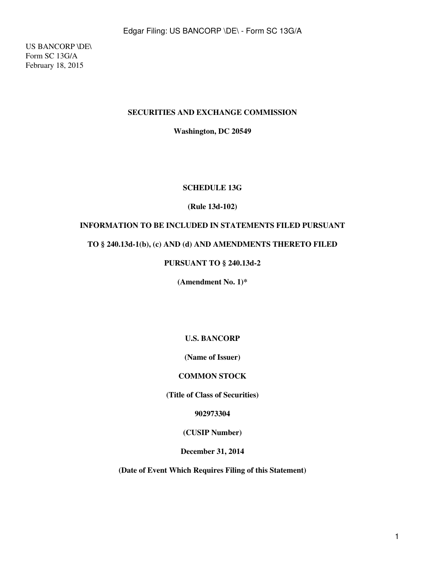US BANCORP \DE\ Form SC 13G/A February 18, 2015

#### **SECURITIES AND EXCHANGE COMMISSION**

**Washington, DC 20549**

#### **SCHEDULE 13G**

#### **(Rule 13d-102)**

#### **INFORMATION TO BE INCLUDED IN STATEMENTS FILED PURSUANT**

#### **TO § 240.13d-1(b), (c) AND (d) AND AMENDMENTS THERETO FILED**

### **PURSUANT TO § 240.13d-2**

**(Amendment No. 1)\***

**U.S. BANCORP**

**(Name of Issuer)**

#### **COMMON STOCK**

**(Title of Class of Securities)**

**902973304**

**(CUSIP Number)**

**December 31, 2014**

**(Date of Event Which Requires Filing of this Statement)**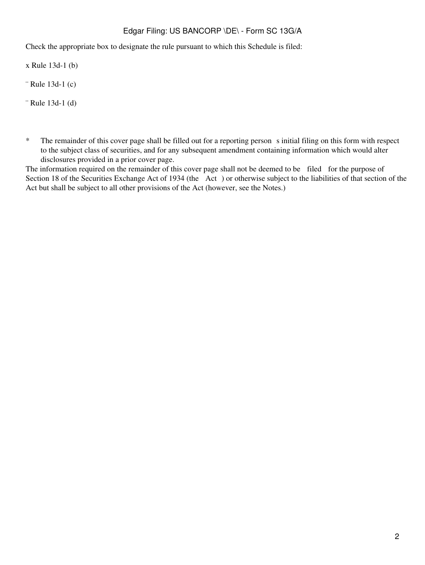Check the appropriate box to designate the rule pursuant to which this Schedule is filed:

x Rule 13d-1 (b)

¨ Rule 13d-1 (c)

¨ Rule 13d-1 (d)

\* The remainder of this cover page shall be filled out for a reporting person s initial filing on this form with respect to the subject class of securities, and for any subsequent amendment containing information which would alter disclosures provided in a prior cover page.

The information required on the remainder of this cover page shall not be deemed to be filed for the purpose of Section 18 of the Securities Exchange Act of 1934 (the Act) or otherwise subject to the liabilities of that section of the Act but shall be subject to all other provisions of the Act (however, see the Notes.)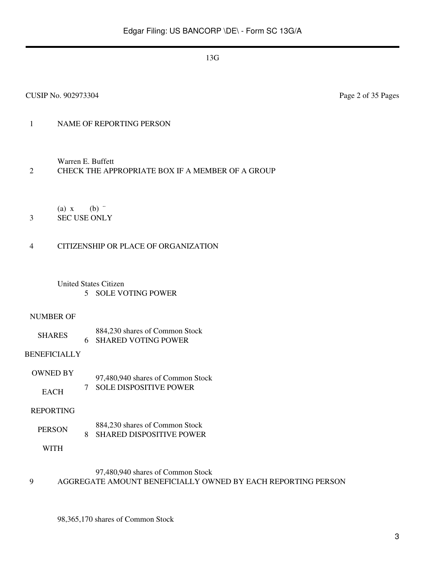## 1 NAME OF REPORTING PERSON

Warren E. Buffett

#### 2 CHECK THE APPROPRIATE BOX IF A MEMBER OF A GROUP

(a)  $x$  (b)  $\dddot{ }$ 

3 SEC USE ONLY

#### 4 CITIZENSHIP OR PLACE OF ORGANIZATION

United States Citizen 5 SOLE VOTING POWER

#### NUMBER OF

SHARES 884,230 shares of Common Stock 6 SHARED VOTING POWER

#### BENEFICIALLY

OWNED BY EACH 97,480,940 shares of Common Stock 7 SOLE DISPOSITIVE POWER

#### REPORTING

PERSON 884,230 shares of Common Stock 8 SHARED DISPOSITIVE POWER

WITH

## 97,480,940 shares of Common Stock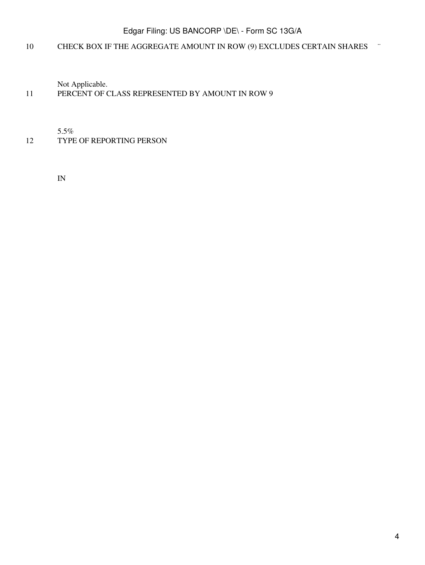## 10 CHECK BOX IF THE AGGREGATE AMOUNT IN ROW (9) EXCLUDES CERTAIN SHARES  $\ddot{\phantom{a}}$

Not Applicable.

## 11 PERCENT OF CLASS REPRESENTED BY AMOUNT IN ROW 9

5.5%

12 TYPE OF REPORTING PERSON

IN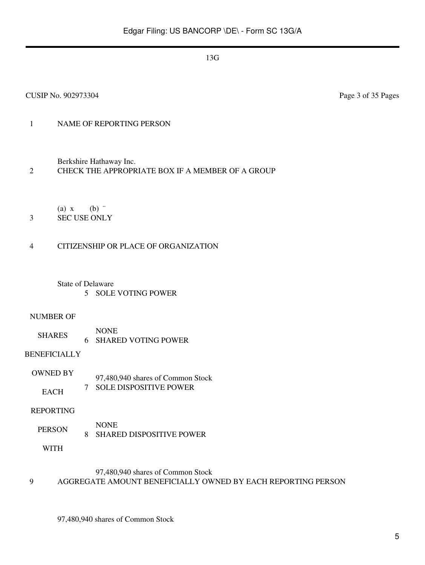## 1 NAME OF REPORTING PERSON

Berkshire Hathaway Inc.

#### 2 CHECK THE APPROPRIATE BOX IF A MEMBER OF A GROUP

(a)  $x$  (b)  $\dddot{ }$ 

3 SEC USE ONLY

#### 4 CITIZENSHIP OR PLACE OF ORGANIZATION

State of Delaware 5 SOLE VOTING POWER

#### NUMBER OF

SHARES NONE 6 SHARED VOTING POWER

#### BENEFICIALLY

OWNED BY **EACH** 97,480,940 shares of Common Stock 7 SOLE DISPOSITIVE POWER

#### REPORTING

PERSON NONE 8 SHARED DISPOSITIVE POWER

WITH

#### 97,480,940 shares of Common Stock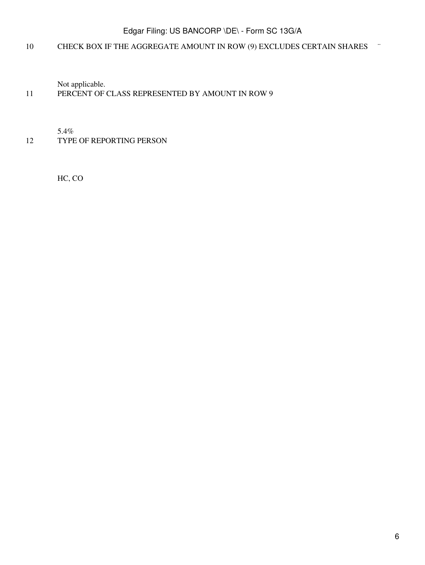## 10 CHECK BOX IF THE AGGREGATE AMOUNT IN ROW (9) EXCLUDES CERTAIN SHARES ¨

Not applicable.

## 11 PERCENT OF CLASS REPRESENTED BY AMOUNT IN ROW 9

5.4%

12 TYPE OF REPORTING PERSON

HC, CO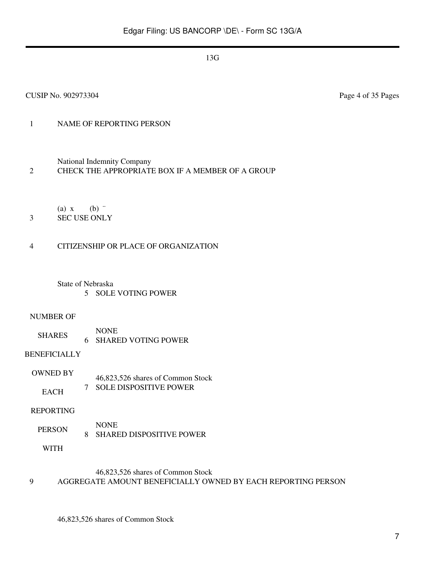## 1 NAME OF REPORTING PERSON

National Indemnity Company

#### 2 CHECK THE APPROPRIATE BOX IF A MEMBER OF A GROUP

(a)  $x$  (b)  $\dddot{ }$ 

## 3 SEC USE ONLY

#### 4 CITIZENSHIP OR PLACE OF ORGANIZATION

#### State of Nebraska 5 SOLE VOTING POWER

#### NUMBER OF

SHARES NONE 6 SHARED VOTING POWER

#### BENEFICIALLY

OWNED BY **EACH** 46,823,526 shares of Common Stock 7 SOLE DISPOSITIVE POWER

#### REPORTING

PERSON NONE 8 SHARED DISPOSITIVE POWER

WITH

## 46,823,526 shares of Common Stock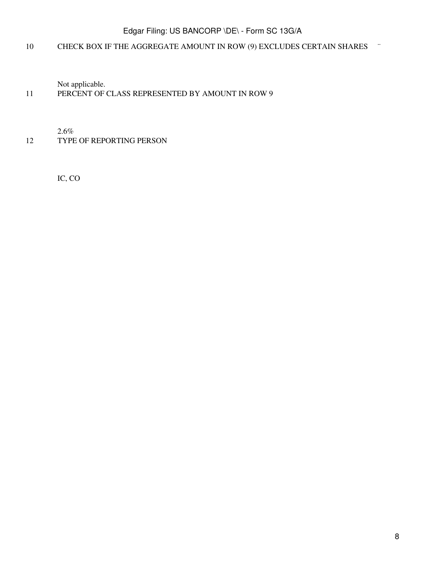## 10 CHECK BOX IF THE AGGREGATE AMOUNT IN ROW (9) EXCLUDES CERTAIN SHARES ¨

Not applicable.

## 11 PERCENT OF CLASS REPRESENTED BY AMOUNT IN ROW 9

2.6%

#### 12 TYPE OF REPORTING PERSON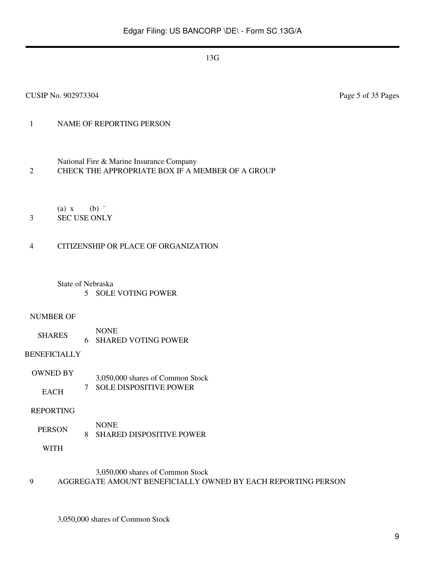CUSIP No. 902973304 Page 5 of 35 Pages

## 1 NAME OF REPORTING PERSON

National Fire & Marine Insurance Company

2 CHECK THE APPROPRIATE BOX IF A MEMBER OF A GROUP

(a)  $x$  (b)  $\dddot{ }$ 

3 SEC USE ONLY

## 4 CITIZENSHIP OR PLACE OF ORGANIZATION

State of Nebraska 5 SOLE VOTING POWER

#### NUMBER OF

SHARES NONE 6 SHARED VOTING POWER

## BENEFICIALLY

OWNED BY **EACH** 3,050,000 shares of Common Stock 7 SOLE DISPOSITIVE POWER

#### REPORTING

PERSON NONE 8 SHARED DISPOSITIVE POWER

WITH

## 3,050,000 shares of Common Stock

#### 9 AGGREGATE AMOUNT BENEFICIALLY OWNED BY EACH REPORTING PERSON

3,050,000 shares of Common Stock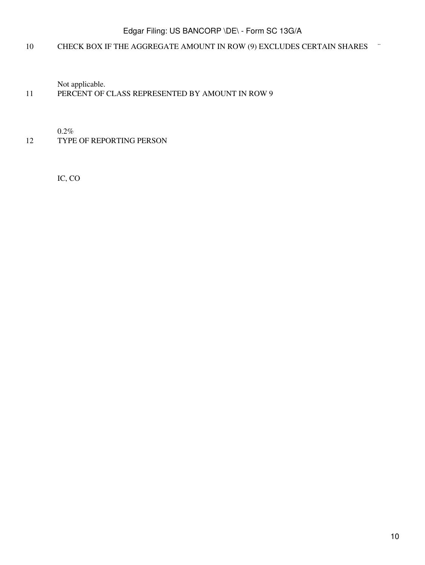## 10 CHECK BOX IF THE AGGREGATE AMOUNT IN ROW (9) EXCLUDES CERTAIN SHARES ¨

Not applicable.

## 11 PERCENT OF CLASS REPRESENTED BY AMOUNT IN ROW 9

0.2%

### 12 TYPE OF REPORTING PERSON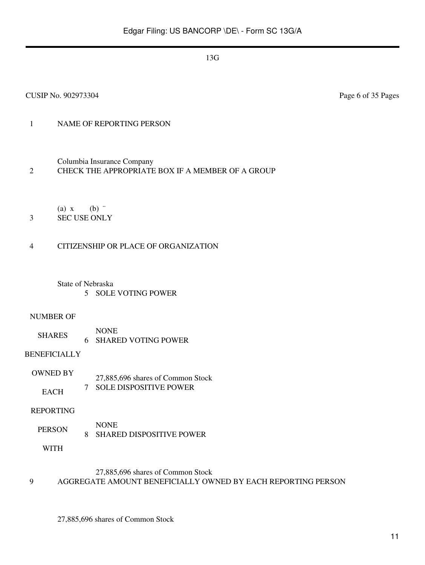CUSIP No. 902973304 Page 6 of 35 Pages

## 1 NAME OF REPORTING PERSON

Columbia Insurance Company

## 2 CHECK THE APPROPRIATE BOX IF A MEMBER OF A GROUP

(a)  $x$  (b)  $\dddot{ }$ 

## 3 SEC USE ONLY

## 4 CITIZENSHIP OR PLACE OF ORGANIZATION

#### State of Nebraska 5 SOLE VOTING POWER

#### NUMBER OF

SHARES NONE 6 SHARED VOTING POWER

## BENEFICIALLY

OWNED BY **EACH** 27,885,696 shares of Common Stock 7 SOLE DISPOSITIVE POWER

#### REPORTING

PERSON NONE 8 SHARED DISPOSITIVE POWER

WITH

#### 27,885,696 shares of Common Stock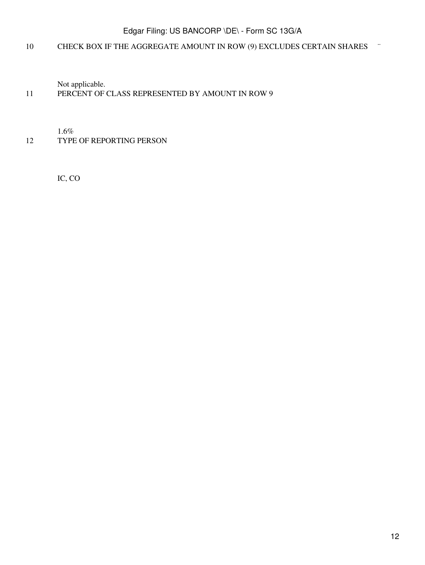## 10 CHECK BOX IF THE AGGREGATE AMOUNT IN ROW (9) EXCLUDES CERTAIN SHARES ¨

Not applicable.

## 11 PERCENT OF CLASS REPRESENTED BY AMOUNT IN ROW 9

1.6%

## 12 TYPE OF REPORTING PERSON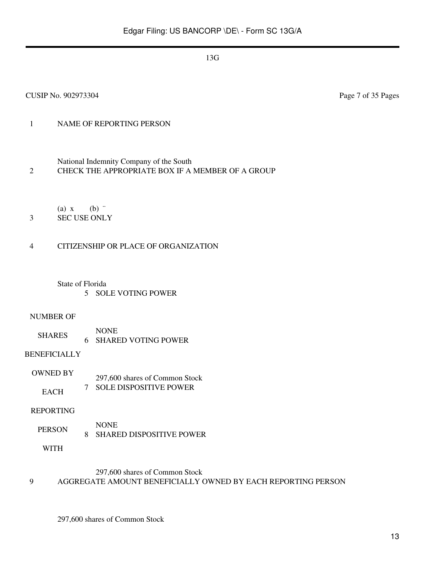7 SOLE DISPOSITIVE POWER

#### REPORTING

PERSON 8 SHARED DISPOSITIVE POWER

WITH

#### 297,600 shares of Common Stock

#### 9 AGGREGATE AMOUNT BENEFICIALLY OWNED BY EACH REPORTING PERSON

297,600 shares of Common Stock

#### CUSIP No. 902973304 Page 7 of 35 Pages

# 1 NAME OF REPORTING PERSON

National Indemnity Company of the South

- 2 CHECK THE APPROPRIATE BOX IF A MEMBER OF A GROUP
	- (a)  $x$  (b)  $\dddot{ }$
- 3 SEC USE ONLY

#### 4 CITIZENSHIP OR PLACE OF ORGANIZATION

## State of Florida

- 5 SOLE VOTING POWER
- NUMBER OF
	- SHARES NONE 6 SHARED VOTING POWER

BENEFICIALLY

OWNED BY **EACH** 297,600 shares of Common Stock

NONE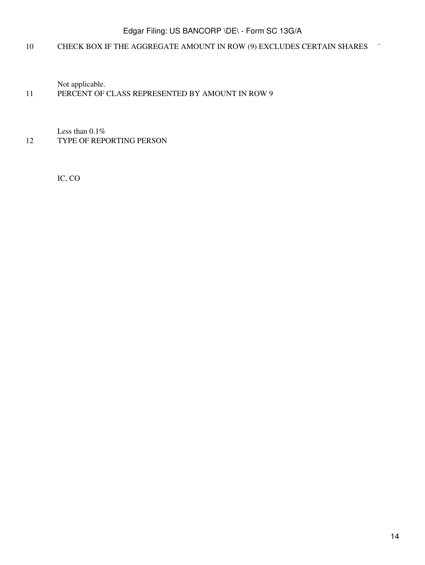## 10 CHECK BOX IF THE AGGREGATE AMOUNT IN ROW (9) EXCLUDES CERTAIN SHARES ¨

Not applicable.

## 11 PERCENT OF CLASS REPRESENTED BY AMOUNT IN ROW 9

Less than 0.1% 12 TYPE OF REPORTING PERSON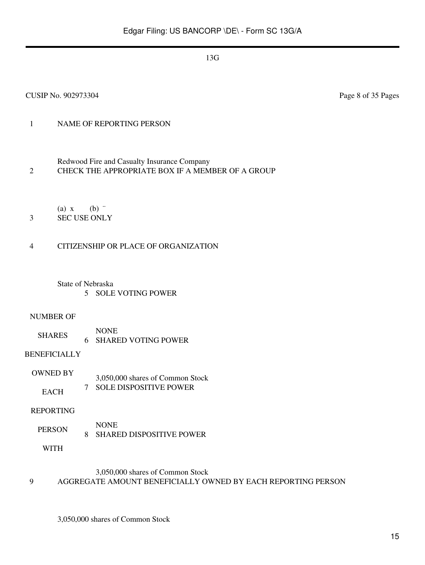#### CUSIP No. 902973304 Page 8 of 35 Pages

## 1 NAME OF REPORTING PERSON

- Redwood Fire and Casualty Insurance Company 2 CHECK THE APPROPRIATE BOX IF A MEMBER OF A GROUP
	- (a)  $x$  (b)  $\dddot{ }$
- 3 SEC USE ONLY

#### 4 CITIZENSHIP OR PLACE OF ORGANIZATION

State of Nebraska 5 SOLE VOTING POWER

#### NUMBER OF

SHARES NONE 6 SHARED VOTING POWER

#### BENEFICIALLY

OWNED BY EACH 3,050,000 shares of Common Stock 7 SOLE DISPOSITIVE POWER

#### REPORTING

PERSON NONE 8 SHARED DISPOSITIVE POWER

WITH

## 3,050,000 shares of Common Stock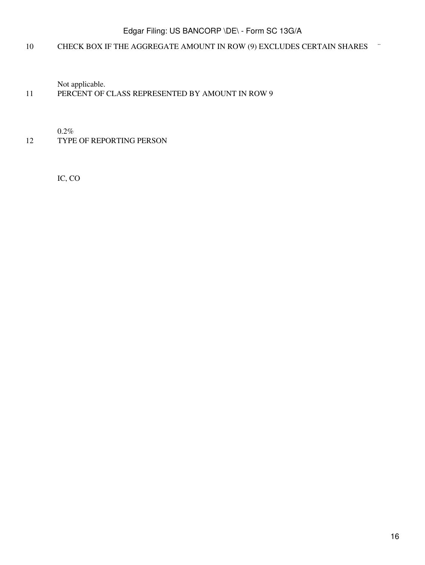## 10 CHECK BOX IF THE AGGREGATE AMOUNT IN ROW (9) EXCLUDES CERTAIN SHARES ¨

Not applicable.

## 11 PERCENT OF CLASS REPRESENTED BY AMOUNT IN ROW 9

0.2%

## 12 TYPE OF REPORTING PERSON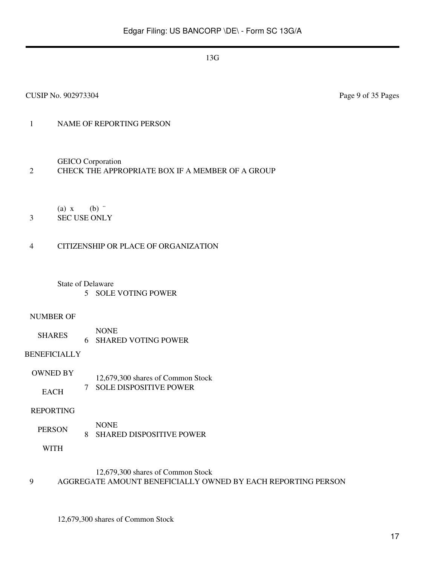## 1 NAME OF REPORTING PERSON

GEICO Corporation

## 2 CHECK THE APPROPRIATE BOX IF A MEMBER OF A GROUP

(a)  $x$  (b)  $\dddot{ }$ 

3 SEC USE ONLY

#### 4 CITIZENSHIP OR PLACE OF ORGANIZATION

State of Delaware 5 SOLE VOTING POWER

#### NUMBER OF

SHARES NONE 6 SHARED VOTING POWER

## BENEFICIALLY

OWNED BY EACH 12,679,300 shares of Common Stock 7 SOLE DISPOSITIVE POWER

#### REPORTING

PERSON NONE 8 SHARED DISPOSITIVE POWER

WITH

#### 12,679,300 shares of Common Stock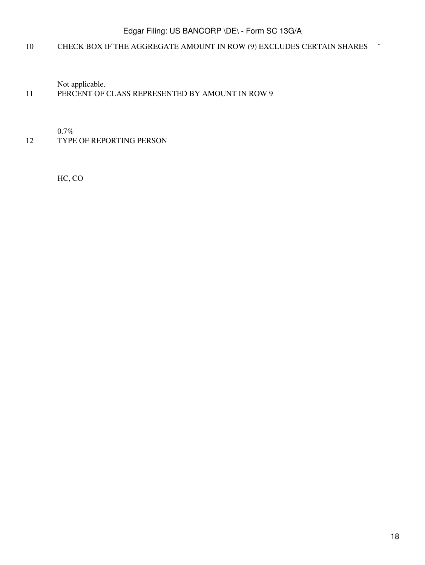## 10 CHECK BOX IF THE AGGREGATE AMOUNT IN ROW (9) EXCLUDES CERTAIN SHARES ¨

Not applicable.

## 11 PERCENT OF CLASS REPRESENTED BY AMOUNT IN ROW 9

0.7%

### 12 TYPE OF REPORTING PERSON

HC, CO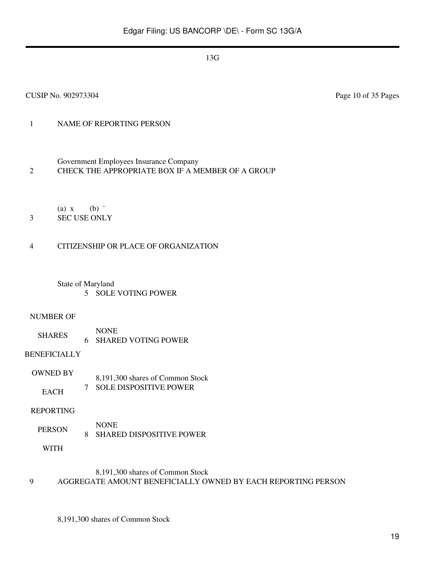## 1 NAME OF REPORTING PERSON

Government Employees Insurance Company

2 CHECK THE APPROPRIATE BOX IF A MEMBER OF A GROUP

(a)  $x$  (b)  $\dddot{ }$ 

3 SEC USE ONLY

#### 4 CITIZENSHIP OR PLACE OF ORGANIZATION

State of Maryland 5 SOLE VOTING POWER

#### NUMBER OF

SHARES NONE 6 SHARED VOTING POWER

#### BENEFICIALLY

OWNED BY EACH 8,191,300 shares of Common Stock 7 SOLE DISPOSITIVE POWER

#### REPORTING

PERSON NONE 8 SHARED DISPOSITIVE POWER

WITH

#### 8,191,300 shares of Common Stock

#### 9 AGGREGATE AMOUNT BENEFICIALLY OWNED BY EACH REPORTING PERSON

8,191,300 shares of Common Stock

CUSIP No. 902973304 Page 10 of 35 Pages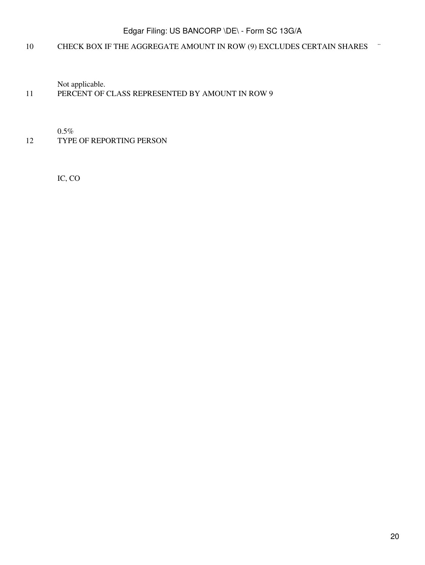## 10 CHECK BOX IF THE AGGREGATE AMOUNT IN ROW (9) EXCLUDES CERTAIN SHARES ¨

Not applicable.

## 11 PERCENT OF CLASS REPRESENTED BY AMOUNT IN ROW 9

0.5%

### 12 TYPE OF REPORTING PERSON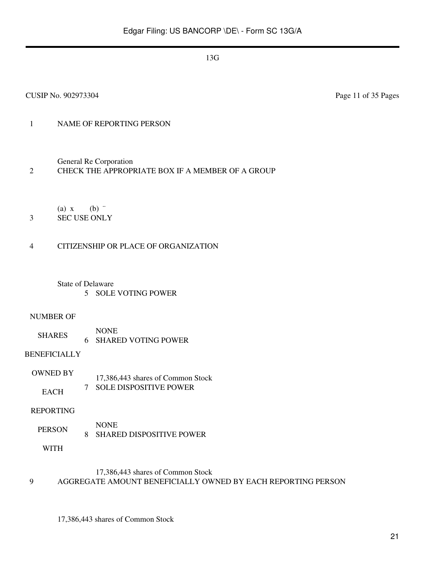## 1 NAME OF REPORTING PERSON

General Re Corporation

## 2 CHECK THE APPROPRIATE BOX IF A MEMBER OF A GROUP

(a)  $x$  (b)  $\dddot{ }$ 

3 SEC USE ONLY

#### 4 CITIZENSHIP OR PLACE OF ORGANIZATION

State of Delaware 5 SOLE VOTING POWER

#### NUMBER OF

SHARES NONE 6 SHARED VOTING POWER

## BENEFICIALLY

OWNED BY **EACH** 17,386,443 shares of Common Stock 7 SOLE DISPOSITIVE POWER

#### REPORTING

PERSON NONE 8 SHARED DISPOSITIVE POWER

WITH

#### 17,386,443 shares of Common Stock

#### 9 AGGREGATE AMOUNT BENEFICIALLY OWNED BY EACH REPORTING PERSON

17,386,443 shares of Common Stock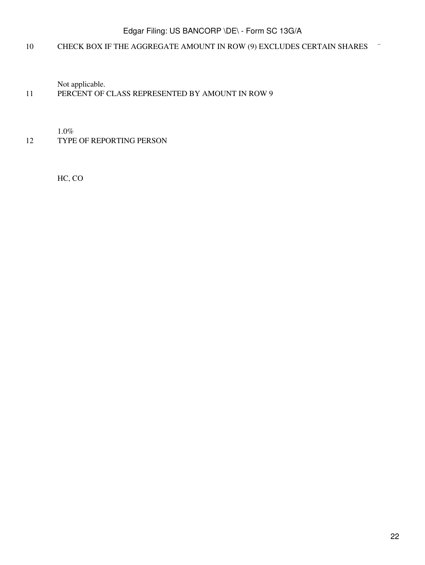## 10 CHECK BOX IF THE AGGREGATE AMOUNT IN ROW (9) EXCLUDES CERTAIN SHARES ¨

Not applicable.

## 11 PERCENT OF CLASS REPRESENTED BY AMOUNT IN ROW 9

1.0%

12 TYPE OF REPORTING PERSON

HC, CO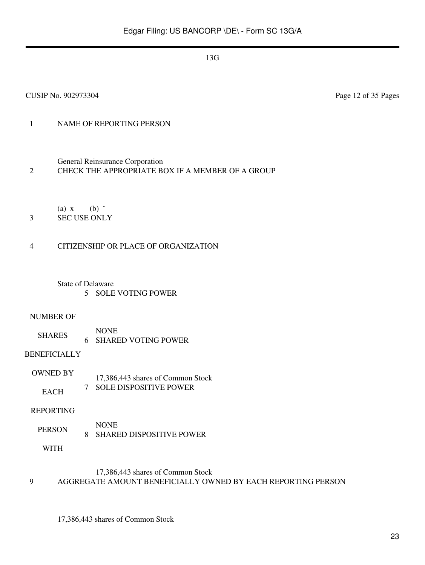CUSIP No. 902973304 Page 12 of 35 Pages

## 1 NAME OF REPORTING PERSON

General Reinsurance Corporation

## 2 CHECK THE APPROPRIATE BOX IF A MEMBER OF A GROUP

(a)  $x$  (b)  $\dddot{ }$ 

3 SEC USE ONLY

## 4 CITIZENSHIP OR PLACE OF ORGANIZATION

State of Delaware 5 SOLE VOTING POWER

#### NUMBER OF

SHARES NONE 6 SHARED VOTING POWER

## BENEFICIALLY

OWNED BY **EACH** 17,386,443 shares of Common Stock 7 SOLE DISPOSITIVE POWER

#### REPORTING

PERSON NONE 8 SHARED DISPOSITIVE POWER

WITH

## 17,386,443 shares of Common Stock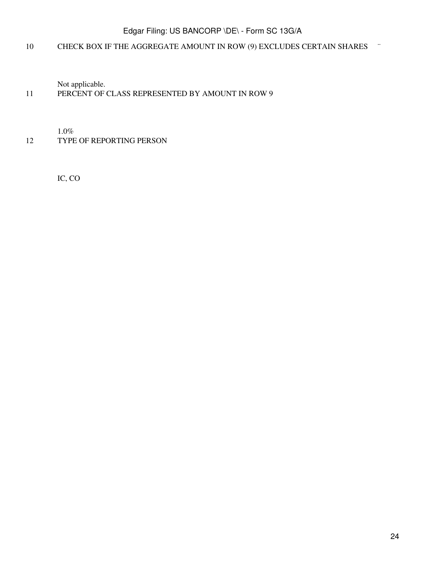## 10 CHECK BOX IF THE AGGREGATE AMOUNT IN ROW (9) EXCLUDES CERTAIN SHARES ¨

Not applicable.

## 11 PERCENT OF CLASS REPRESENTED BY AMOUNT IN ROW 9

1.0%

## 12 TYPE OF REPORTING PERSON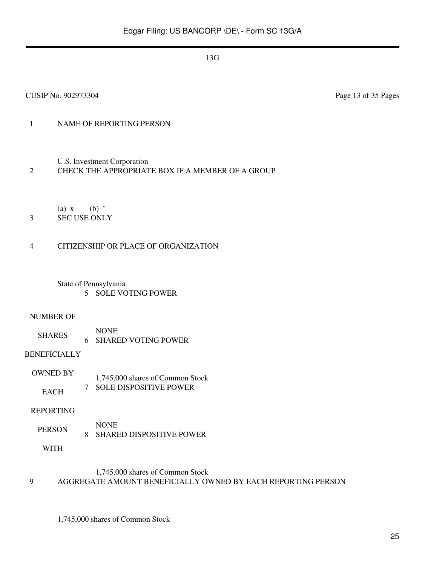## 1 NAME OF REPORTING PERSON

U.S. Investment Corporation

#### 2 CHECK THE APPROPRIATE BOX IF A MEMBER OF A GROUP

(a)  $x$  (b)  $\dddot{ }$ 

## 3 SEC USE ONLY

#### 4 CITIZENSHIP OR PLACE OF ORGANIZATION

State of Pennsylvania 5 SOLE VOTING POWER

#### NUMBER OF

SHARES NONE 6 SHARED VOTING POWER

#### BENEFICIALLY

OWNED BY **EACH** 1,745,000 shares of Common Stock 7 SOLE DISPOSITIVE POWER

#### REPORTING

PERSON NONE 8 SHARED DISPOSITIVE POWER

WITH

## 1,745,000 shares of Common Stock

#### 9 AGGREGATE AMOUNT BENEFICIALLY OWNED BY EACH REPORTING PERSON

1,745,000 shares of Common Stock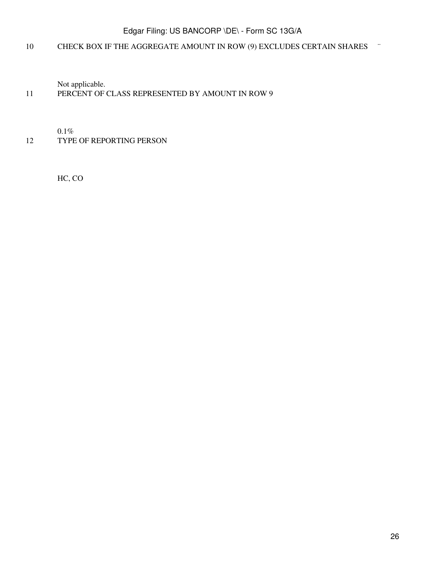## 10 CHECK BOX IF THE AGGREGATE AMOUNT IN ROW (9) EXCLUDES CERTAIN SHARES ¨

Not applicable.

## 11 PERCENT OF CLASS REPRESENTED BY AMOUNT IN ROW 9

0.1%

12 TYPE OF REPORTING PERSON

HC, CO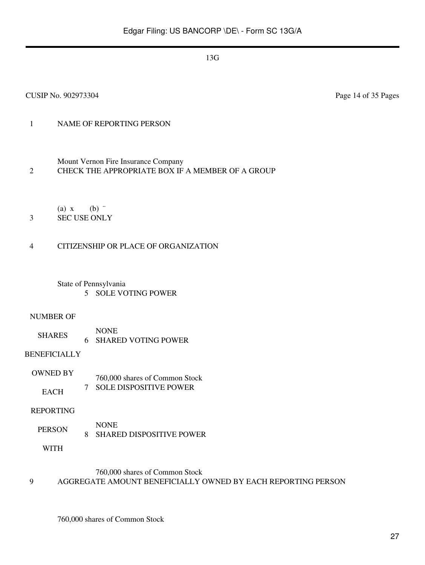## 1 NAME OF REPORTING PERSON

Mount Vernon Fire Insurance Company 2 CHECK THE APPROPRIATE BOX IF A MEMBER OF A GROUP

(a)  $x$  (b)  $\dddot{ }$ 

3 SEC USE ONLY

#### 4 CITIZENSHIP OR PLACE OF ORGANIZATION

State of Pennsylvania 5 SOLE VOTING POWER

#### NUMBER OF

SHARES NONE 6 SHARED VOTING POWER

#### BENEFICIALLY

OWNED BY **EACH** 760,000 shares of Common Stock 7 SOLE DISPOSITIVE POWER

#### REPORTING

PERSON NONE 8 SHARED DISPOSITIVE POWER

WITH

## 760,000 shares of Common Stock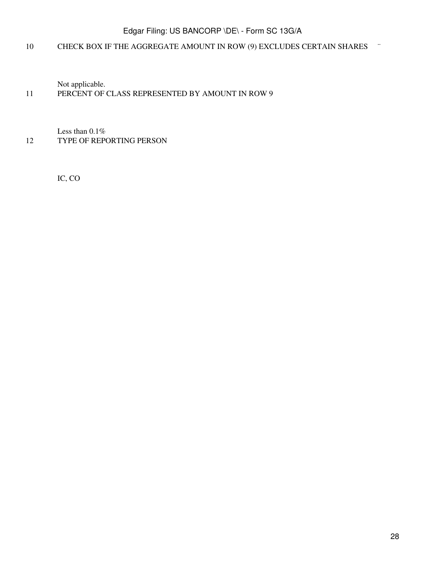## 10 CHECK BOX IF THE AGGREGATE AMOUNT IN ROW (9) EXCLUDES CERTAIN SHARES ¨

Not applicable.

## 11 PERCENT OF CLASS REPRESENTED BY AMOUNT IN ROW 9

Less than 0.1% 12 TYPE OF REPORTING PERSON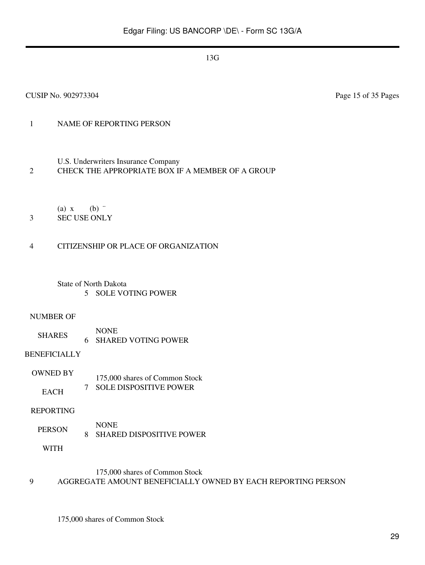## 1 NAME OF REPORTING PERSON

U.S. Underwriters Insurance Company

#### 2 CHECK THE APPROPRIATE BOX IF A MEMBER OF A GROUP

- (a)  $x$  (b)  $\dddot{ }$
- 3 SEC USE ONLY

#### 4 CITIZENSHIP OR PLACE OF ORGANIZATION

State of North Dakota 5 SOLE VOTING POWER

#### NUMBER OF

SHARES NONE 6 SHARED VOTING POWER

#### BENEFICIALLY

OWNED BY **EACH** 175,000 shares of Common Stock 7 SOLE DISPOSITIVE POWER

#### REPORTING

PERSON NONE 8 SHARED DISPOSITIVE POWER

WITH

#### 175,000 shares of Common Stock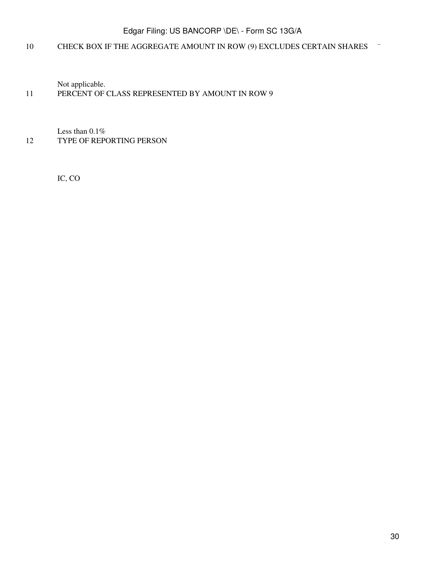## 10 CHECK BOX IF THE AGGREGATE AMOUNT IN ROW (9) EXCLUDES CERTAIN SHARES ¨

Not applicable.

## 11 PERCENT OF CLASS REPRESENTED BY AMOUNT IN ROW 9

Less than 0.1% 12 TYPE OF REPORTING PERSON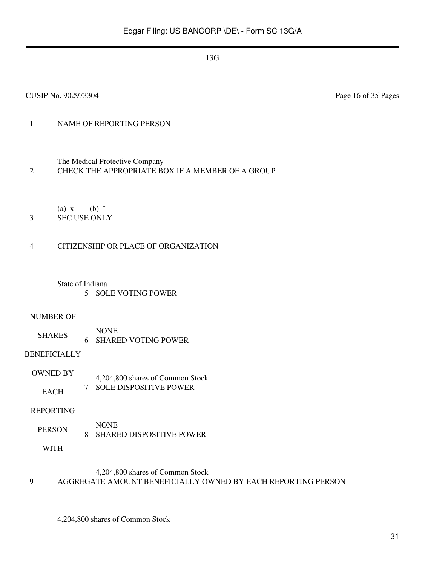## 1 NAME OF REPORTING PERSON

The Medical Protective Company

#### 2 CHECK THE APPROPRIATE BOX IF A MEMBER OF A GROUP

(a)  $x$  (b)  $\dddot{ }$ 

3 SEC USE ONLY

#### 4 CITIZENSHIP OR PLACE OF ORGANIZATION

State of Indiana

5 SOLE VOTING POWER

#### NUMBER OF

SHARES NONE 6 SHARED VOTING POWER

#### BENEFICIALLY

OWNED BY EACH 4,204,800 shares of Common Stock 7 SOLE DISPOSITIVE POWER

#### REPORTING

PERSON NONE 8 SHARED DISPOSITIVE POWER

WITH

## 4,204,800 shares of Common Stock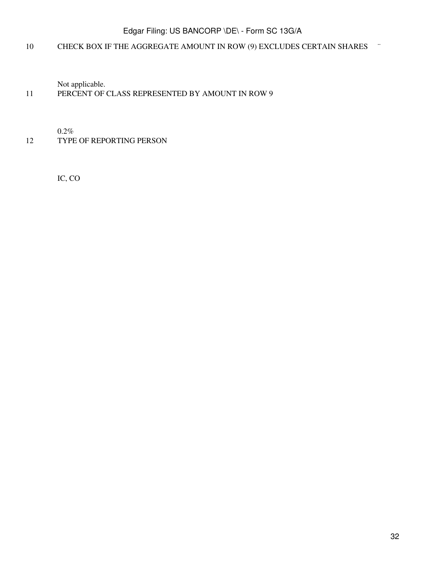## 10 CHECK BOX IF THE AGGREGATE AMOUNT IN ROW (9) EXCLUDES CERTAIN SHARES ¨

Not applicable.

## 11 PERCENT OF CLASS REPRESENTED BY AMOUNT IN ROW 9

0.2%

### 12 TYPE OF REPORTING PERSON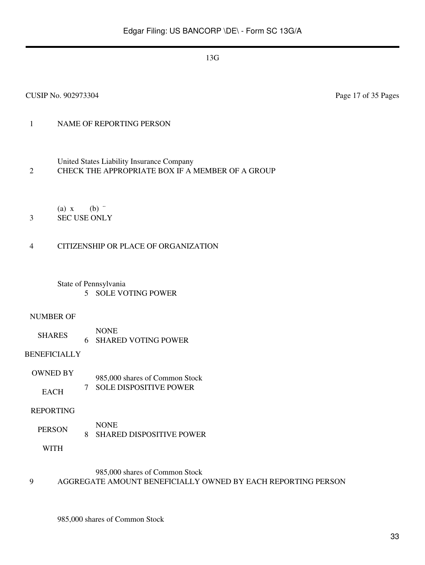## 1 NAME OF REPORTING PERSON

United States Liability Insurance Company

2 CHECK THE APPROPRIATE BOX IF A MEMBER OF A GROUP

(a)  $x$  (b)  $\dddot{ }$ 

3 SEC USE ONLY

#### 4 CITIZENSHIP OR PLACE OF ORGANIZATION

State of Pennsylvania 5 SOLE VOTING POWER

#### NUMBER OF

SHARES NONE 6 SHARED VOTING POWER

#### BENEFICIALLY

OWNED BY EACH 985,000 shares of Common Stock 7 SOLE DISPOSITIVE POWER

#### REPORTING

PERSON NONE 8 SHARED DISPOSITIVE POWER

WITH

#### 985,000 shares of Common Stock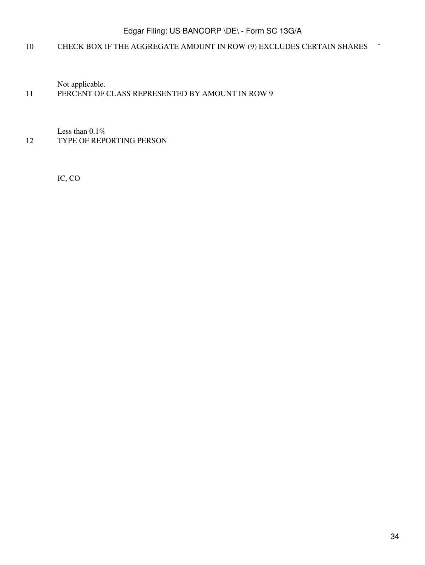## 10 CHECK BOX IF THE AGGREGATE AMOUNT IN ROW (9) EXCLUDES CERTAIN SHARES ¨

Not applicable.

## 11 PERCENT OF CLASS REPRESENTED BY AMOUNT IN ROW 9

Less than 0.1% 12 TYPE OF REPORTING PERSON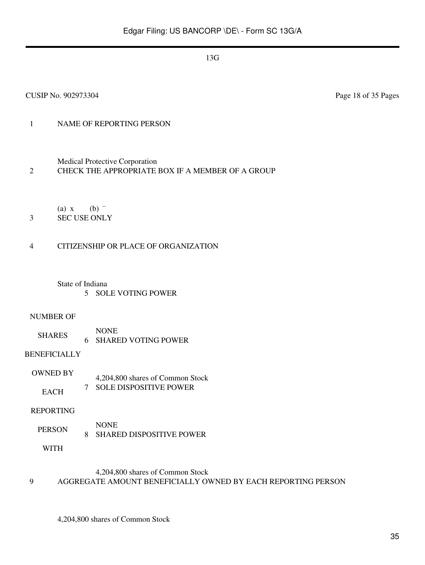## 1 NAME OF REPORTING PERSON

Medical Protective Corporation

## 2 CHECK THE APPROPRIATE BOX IF A MEMBER OF A GROUP

(a)  $x$  (b)  $\dddot{ }$ 

## 3 SEC USE ONLY

#### 4 CITIZENSHIP OR PLACE OF ORGANIZATION

## State of Indiana

5 SOLE VOTING POWER

#### NUMBER OF

SHARES NONE 6 SHARED VOTING POWER

#### BENEFICIALLY

OWNED BY EACH 4,204,800 shares of Common Stock 7 SOLE DISPOSITIVE POWER

#### REPORTING

PERSON NONE 8 SHARED DISPOSITIVE POWER

WITH

## 4,204,800 shares of Common Stock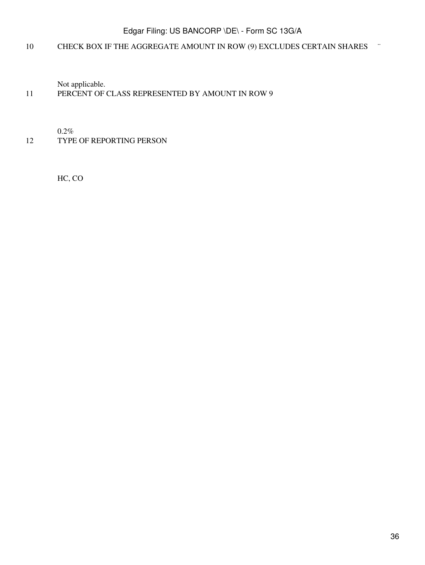## 10 CHECK BOX IF THE AGGREGATE AMOUNT IN ROW (9) EXCLUDES CERTAIN SHARES ¨

Not applicable.

## 11 PERCENT OF CLASS REPRESENTED BY AMOUNT IN ROW 9

0.2%

### 12 TYPE OF REPORTING PERSON

HC, CO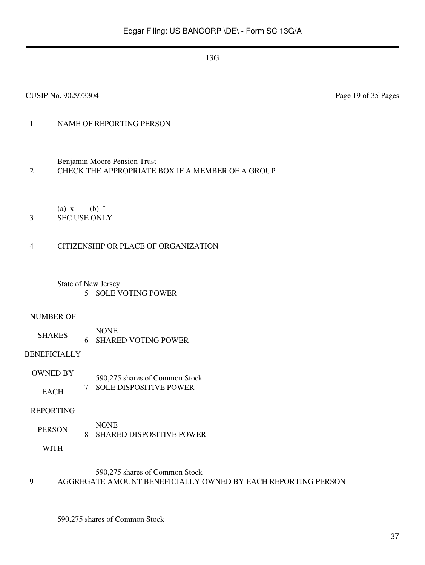CUSIP No. 902973304 Page 19 of 35 Pages

# 1 NAME OF REPORTING PERSON

Benjamin Moore Pension Trust

# 2 CHECK THE APPROPRIATE BOX IF A MEMBER OF A GROUP

(a)  $x$  (b)  $\dddot{ }$ 

3 SEC USE ONLY

### 4 CITIZENSHIP OR PLACE OF ORGANIZATION

State of New Jersey 5 SOLE VOTING POWER

#### NUMBER OF

SHARES NONE 6 SHARED VOTING POWER

### BENEFICIALLY

OWNED BY **EACH** 590,275 shares of Common Stock 7 SOLE DISPOSITIVE POWER

### REPORTING

PERSON NONE 8 SHARED DISPOSITIVE POWER

WITH

### 590,275 shares of Common Stock

### 9 AGGREGATE AMOUNT BENEFICIALLY OWNED BY EACH REPORTING PERSON

590,275 shares of Common Stock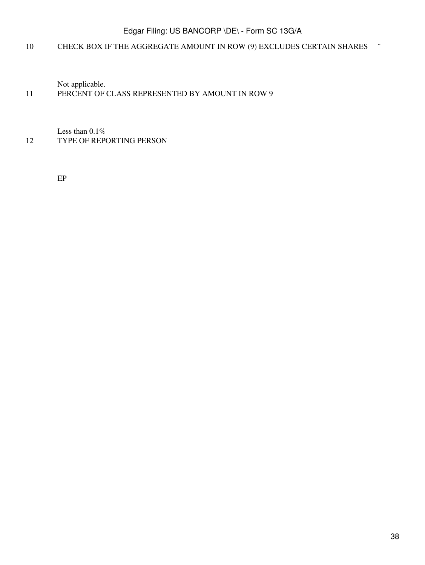# 10 CHECK BOX IF THE AGGREGATE AMOUNT IN ROW (9) EXCLUDES CERTAIN SHARES ¨

Not applicable.

### 11 PERCENT OF CLASS REPRESENTED BY AMOUNT IN ROW 9

Less than 0.1% 12 TYPE OF REPORTING PERSON

EP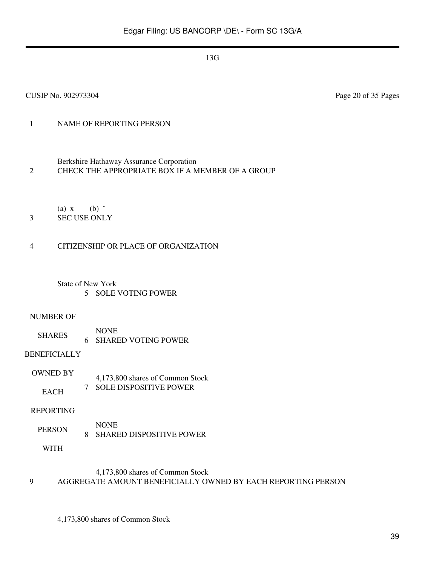CUSIP No. 902973304 Page 20 of 35 Pages

# 1 NAME OF REPORTING PERSON

Berkshire Hathaway Assurance Corporation

2 CHECK THE APPROPRIATE BOX IF A MEMBER OF A GROUP

(a)  $x$  (b)  $\dddot{ }$ 

3 SEC USE ONLY

# 4 CITIZENSHIP OR PLACE OF ORGANIZATION

State of New York 5 SOLE VOTING POWER

### NUMBER OF

SHARES NONE 6 SHARED VOTING POWER

### BENEFICIALLY

OWNED BY EACH 4,173,800 shares of Common Stock 7 SOLE DISPOSITIVE POWER

### REPORTING

PERSON NONE 8 SHARED DISPOSITIVE POWER

WITH

### 4,173,800 shares of Common Stock

9 AGGREGATE AMOUNT BENEFICIALLY OWNED BY EACH REPORTING PERSON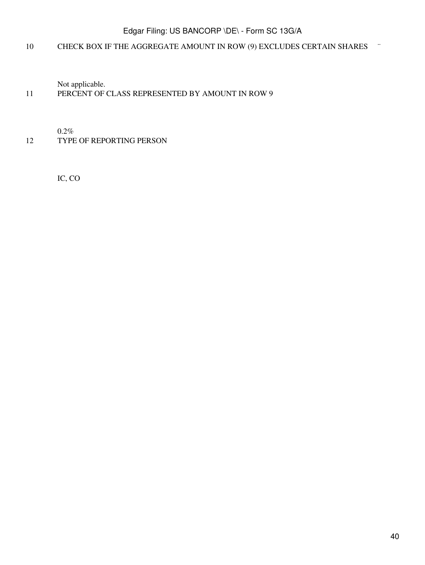# 10 CHECK BOX IF THE AGGREGATE AMOUNT IN ROW (9) EXCLUDES CERTAIN SHARES ¨

Not applicable.

### 11 PERCENT OF CLASS REPRESENTED BY AMOUNT IN ROW 9

0.2%

### 12 TYPE OF REPORTING PERSON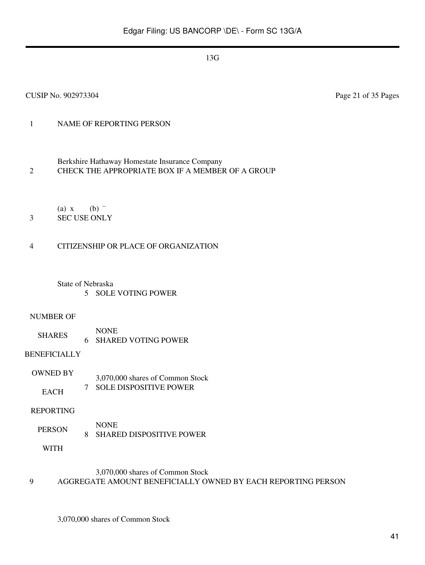CUSIP No. 902973304 Page 21 of 35 Pages

# 1 NAME OF REPORTING PERSON

- Berkshire Hathaway Homestate Insurance Company 2 CHECK THE APPROPRIATE BOX IF A MEMBER OF A GROUP
- (a)  $x$  (b)  $\dddot{ }$ 3 SEC USE ONLY
- 

# 4 CITIZENSHIP OR PLACE OF ORGANIZATION

State of Nebraska 5 SOLE VOTING POWER

# NUMBER OF

SHARES NONE 6 SHARED VOTING POWER

# BENEFICIALLY

OWNED BY **EACH** 3,070,000 shares of Common Stock 7 SOLE DISPOSITIVE POWER

# REPORTING

PERSON NONE 8 SHARED DISPOSITIVE POWER

WITH

# 3,070,000 shares of Common Stock

9 AGGREGATE AMOUNT BENEFICIALLY OWNED BY EACH REPORTING PERSON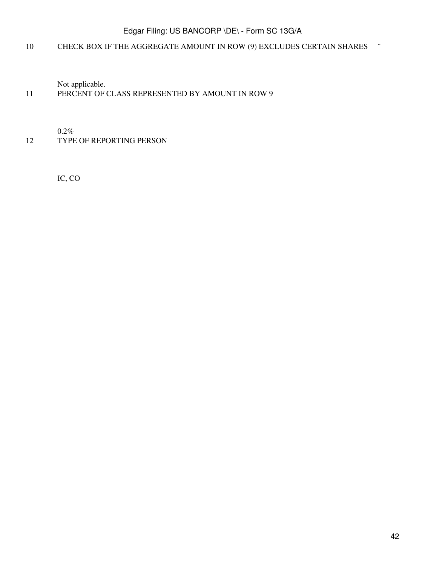# 10 CHECK BOX IF THE AGGREGATE AMOUNT IN ROW (9) EXCLUDES CERTAIN SHARES ¨

Not applicable.

### 11 PERCENT OF CLASS REPRESENTED BY AMOUNT IN ROW 9

0.2%

### 12 TYPE OF REPORTING PERSON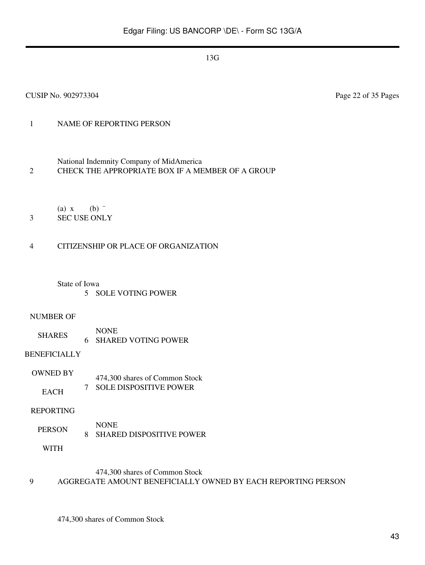# 1 NAME OF REPORTING PERSON

- National Indemnity Company of MidAmerica
- 2 CHECK THE APPROPRIATE BOX IF A MEMBER OF A GROUP
	- (a)  $x$  (b)  $\dddot{ }$
- 3 SEC USE ONLY

### 4 CITIZENSHIP OR PLACE OF ORGANIZATION

#### State of Iowa

5 SOLE VOTING POWER

#### NUMBER OF

SHARES NONE 6 SHARED VOTING POWER

#### BENEFICIALLY

OWNED BY **EACH** 474,300 shares of Common Stock 7 SOLE DISPOSITIVE POWER

#### REPORTING

PERSON NONE 8 SHARED DISPOSITIVE POWER

WITH

#### 474,300 shares of Common Stock

9 AGGREGATE AMOUNT BENEFICIALLY OWNED BY EACH REPORTING PERSON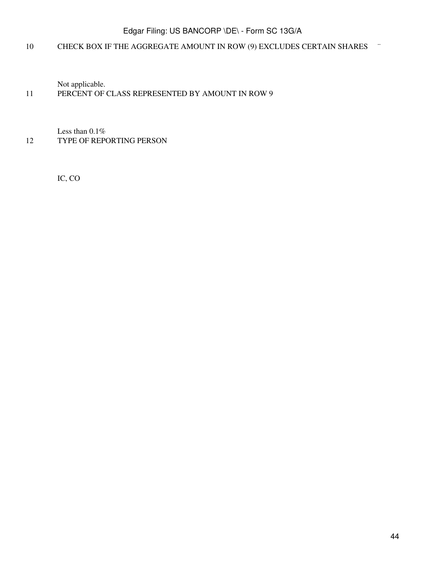# 10 CHECK BOX IF THE AGGREGATE AMOUNT IN ROW (9) EXCLUDES CERTAIN SHARES ¨

Not applicable.

### 11 PERCENT OF CLASS REPRESENTED BY AMOUNT IN ROW 9

Less than 0.1% 12 TYPE OF REPORTING PERSON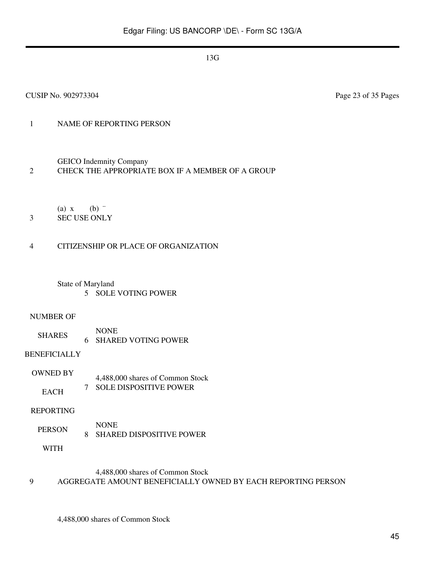### 1 NAME OF REPORTING PERSON

GEICO Indemnity Company

### 2 CHECK THE APPROPRIATE BOX IF A MEMBER OF A GROUP

(a)  $x$  (b)  $\dddot{ }$ 

# 3 SEC USE ONLY

### 4 CITIZENSHIP OR PLACE OF ORGANIZATION

State of Maryland 5 SOLE VOTING POWER

#### NUMBER OF

SHARES NONE 6 SHARED VOTING POWER

#### BENEFICIALLY

OWNED BY EACH 4,488,000 shares of Common Stock 7 SOLE DISPOSITIVE POWER

#### REPORTING

PERSON NONE 8 SHARED DISPOSITIVE POWER

WITH

### 4,488,000 shares of Common Stock

### 9 AGGREGATE AMOUNT BENEFICIALLY OWNED BY EACH REPORTING PERSON

4,488,000 shares of Common Stock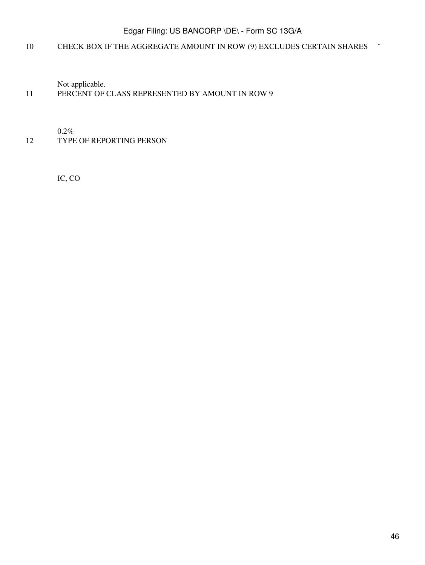# 10 CHECK BOX IF THE AGGREGATE AMOUNT IN ROW (9) EXCLUDES CERTAIN SHARES ¨

Not applicable.

### 11 PERCENT OF CLASS REPRESENTED BY AMOUNT IN ROW 9

0.2%

### 12 TYPE OF REPORTING PERSON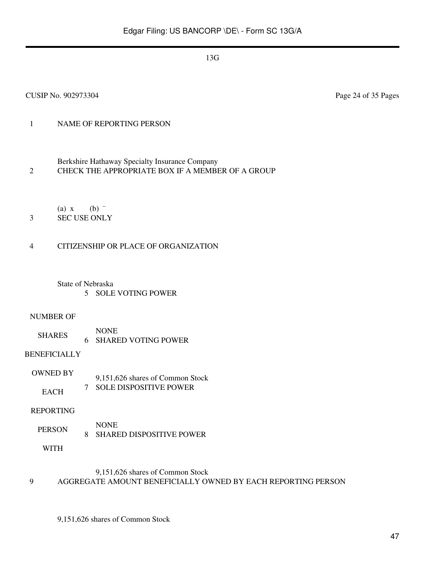CUSIP No. 902973304 Page 24 of 35 Pages

# 1 NAME OF REPORTING PERSON

- Berkshire Hathaway Specialty Insurance Company 2 CHECK THE APPROPRIATE BOX IF A MEMBER OF A GROUP
	- (a)  $x$  (b)  $\dddot{ }$
- 3 SEC USE ONLY

### 4 CITIZENSHIP OR PLACE OF ORGANIZATION

State of Nebraska 5 SOLE VOTING POWER

#### NUMBER OF

SHARES NONE 6 SHARED VOTING POWER

### BENEFICIALLY

OWNED BY **EACH** 9,151,626 shares of Common Stock 7 SOLE DISPOSITIVE POWER

### REPORTING

PERSON NONE 8 SHARED DISPOSITIVE POWER

WITH

### 9,151,626 shares of Common Stock

9 AGGREGATE AMOUNT BENEFICIALLY OWNED BY EACH REPORTING PERSON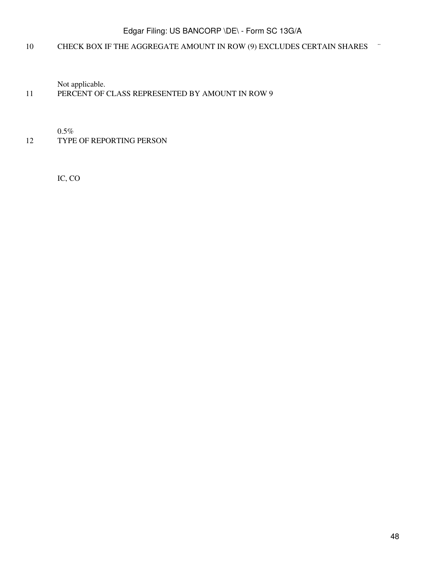# 10 CHECK BOX IF THE AGGREGATE AMOUNT IN ROW (9) EXCLUDES CERTAIN SHARES ¨

Not applicable.

### 11 PERCENT OF CLASS REPRESENTED BY AMOUNT IN ROW 9

0.5%

### 12 TYPE OF REPORTING PERSON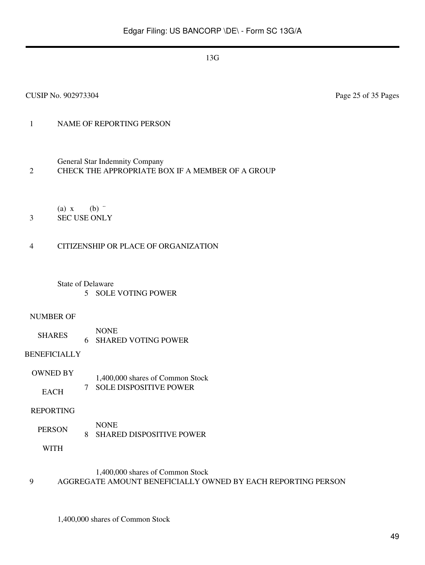# 1 NAME OF REPORTING PERSON

General Star Indemnity Company

#### 2 CHECK THE APPROPRIATE BOX IF A MEMBER OF A GROUP

(a)  $x$  (b)  $\dddot{ }$ 

3 SEC USE ONLY

### 4 CITIZENSHIP OR PLACE OF ORGANIZATION

State of Delaware 5 SOLE VOTING POWER

#### NUMBER OF

SHARES NONE 6 SHARED VOTING POWER

#### BENEFICIALLY

OWNED BY **EACH** 1,400,000 shares of Common Stock 7 SOLE DISPOSITIVE POWER

#### REPORTING

PERSON NONE 8 SHARED DISPOSITIVE POWER

WITH

### 1,400,000 shares of Common Stock

#### 9 AGGREGATE AMOUNT BENEFICIALLY OWNED BY EACH REPORTING PERSON

1,400,000 shares of Common Stock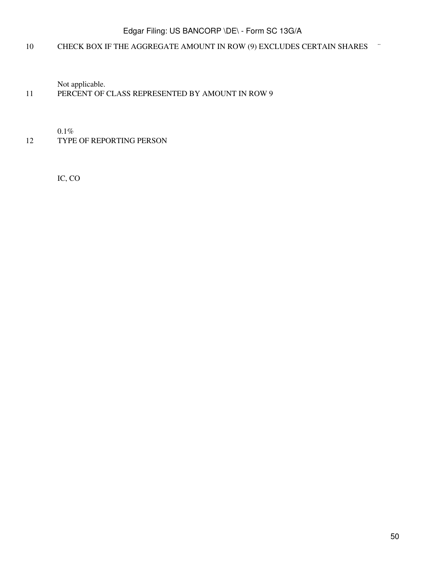# 10 CHECK BOX IF THE AGGREGATE AMOUNT IN ROW (9) EXCLUDES CERTAIN SHARES ¨

Not applicable.

# 11 PERCENT OF CLASS REPRESENTED BY AMOUNT IN ROW 9

0.1%

### 12 TYPE OF REPORTING PERSON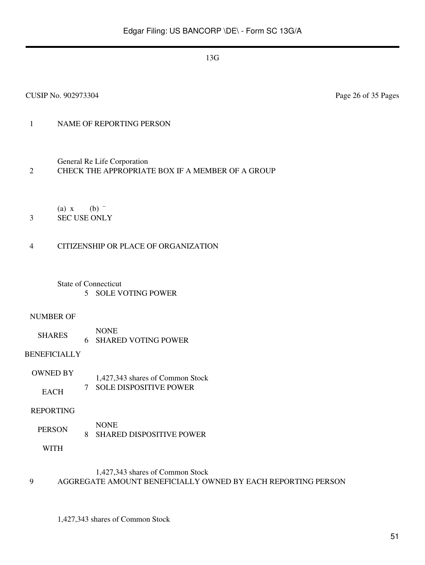### 1 NAME OF REPORTING PERSON

General Re Life Corporation

#### 2 CHECK THE APPROPRIATE BOX IF A MEMBER OF A GROUP

(a)  $x$  (b)  $\dddot{ }$ 

### 3 SEC USE ONLY

### 4 CITIZENSHIP OR PLACE OF ORGANIZATION

State of Connecticut 5 SOLE VOTING POWER

#### NUMBER OF

SHARES NONE 6 SHARED VOTING POWER

#### BENEFICIALLY

OWNED BY **EACH** 1,427,343 shares of Common Stock 7 SOLE DISPOSITIVE POWER

#### REPORTING

PERSON NONE 8 SHARED DISPOSITIVE POWER

WITH

### 1,427,343 shares of Common Stock

#### 9 AGGREGATE AMOUNT BENEFICIALLY OWNED BY EACH REPORTING PERSON

1,427,343 shares of Common Stock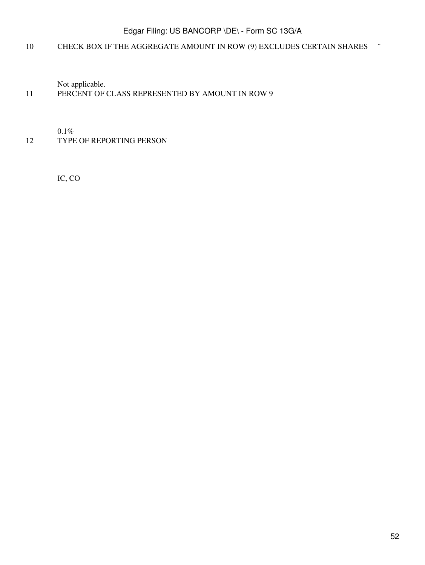# 10 CHECK BOX IF THE AGGREGATE AMOUNT IN ROW (9) EXCLUDES CERTAIN SHARES ¨

Not applicable.

### 11 PERCENT OF CLASS REPRESENTED BY AMOUNT IN ROW 9

0.1%

### 12 TYPE OF REPORTING PERSON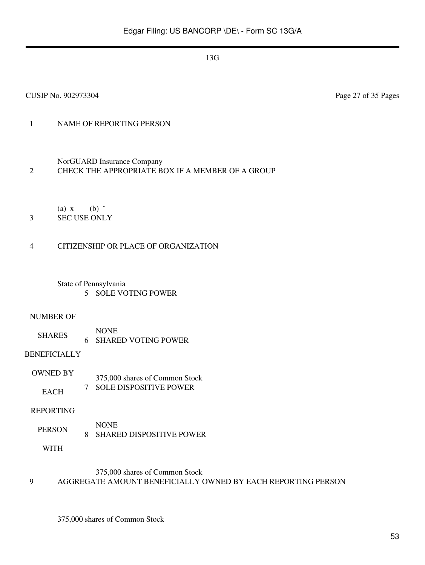### 1 NAME OF REPORTING PERSON

### NorGUARD Insurance Company

#### 2 CHECK THE APPROPRIATE BOX IF A MEMBER OF A GROUP

(a)  $x$  (b)  $\dddot{ }$ 

3 SEC USE ONLY

### 4 CITIZENSHIP OR PLACE OF ORGANIZATION

#### State of Pennsylvania 5 SOLE VOTING POWER

#### NUMBER OF

SHARES NONE 6 SHARED VOTING POWER

### BENEFICIALLY

OWNED BY **EACH** 375,000 shares of Common Stock 7 SOLE DISPOSITIVE POWER

#### REPORTING

PERSON NONE 8 SHARED DISPOSITIVE POWER

WITH

### 375,000 shares of Common Stock

#### 9 AGGREGATE AMOUNT BENEFICIALLY OWNED BY EACH REPORTING PERSON

375,000 shares of Common Stock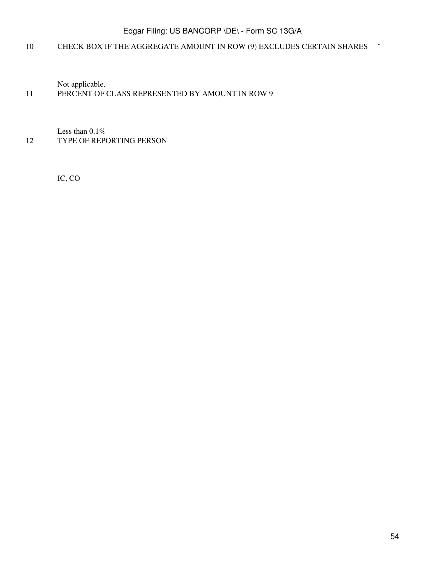# 10 CHECK BOX IF THE AGGREGATE AMOUNT IN ROW (9) EXCLUDES CERTAIN SHARES ¨

Not applicable.

### 11 PERCENT OF CLASS REPRESENTED BY AMOUNT IN ROW 9

Less than 0.1% 12 TYPE OF REPORTING PERSON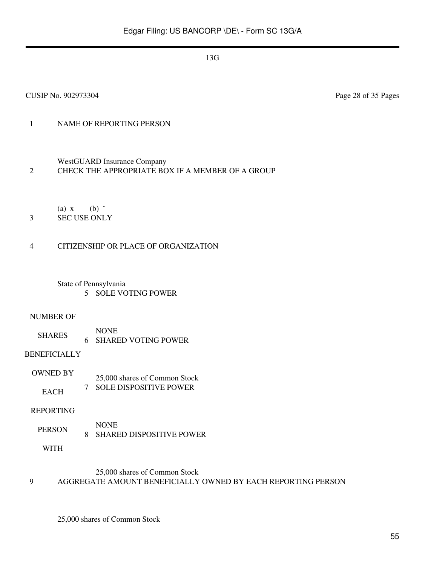# 1 NAME OF REPORTING PERSON

### WestGUARD Insurance Company

#### 2 CHECK THE APPROPRIATE BOX IF A MEMBER OF A GROUP

(a)  $x$  (b)  $\dddot{ }$ 

3 SEC USE ONLY

### 4 CITIZENSHIP OR PLACE OF ORGANIZATION

#### State of Pennsylvania 5 SOLE VOTING POWER

#### NUMBER OF

SHARES NONE 6 SHARED VOTING POWER

### BENEFICIALLY

OWNED BY **EACH** 25,000 shares of Common Stock 7 SOLE DISPOSITIVE POWER

#### REPORTING

PERSON NONE 8 SHARED DISPOSITIVE POWER

WITH

### 25,000 shares of Common Stock

# 9 AGGREGATE AMOUNT BENEFICIALLY OWNED BY EACH REPORTING PERSON

25,000 shares of Common Stock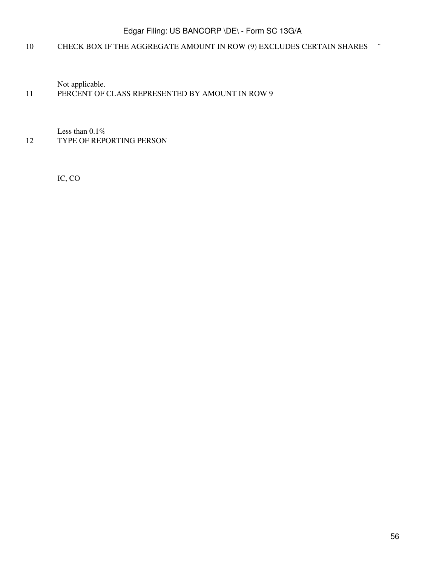# 10 CHECK BOX IF THE AGGREGATE AMOUNT IN ROW (9) EXCLUDES CERTAIN SHARES ¨

Not applicable.

### 11 PERCENT OF CLASS REPRESENTED BY AMOUNT IN ROW 9

Less than 0.1% 12 TYPE OF REPORTING PERSON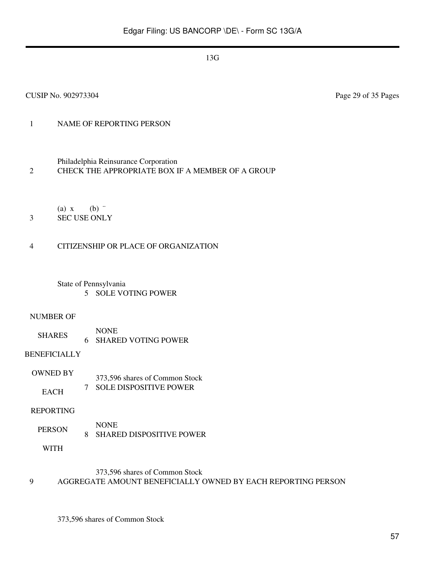# 1 NAME OF REPORTING PERSON

Philadelphia Reinsurance Corporation

2 CHECK THE APPROPRIATE BOX IF A MEMBER OF A GROUP

(a)  $x$  (b)  $\dddot{ }$ 

3 SEC USE ONLY

### 4 CITIZENSHIP OR PLACE OF ORGANIZATION

State of Pennsylvania 5 SOLE VOTING POWER

#### NUMBER OF

SHARES NONE 6 SHARED VOTING POWER

### BENEFICIALLY

OWNED BY **EACH** 373,596 shares of Common Stock 7 SOLE DISPOSITIVE POWER

#### REPORTING

PERSON NONE 8 SHARED DISPOSITIVE POWER

WITH

### 373,596 shares of Common Stock

### 9 AGGREGATE AMOUNT BENEFICIALLY OWNED BY EACH REPORTING PERSON

373,596 shares of Common Stock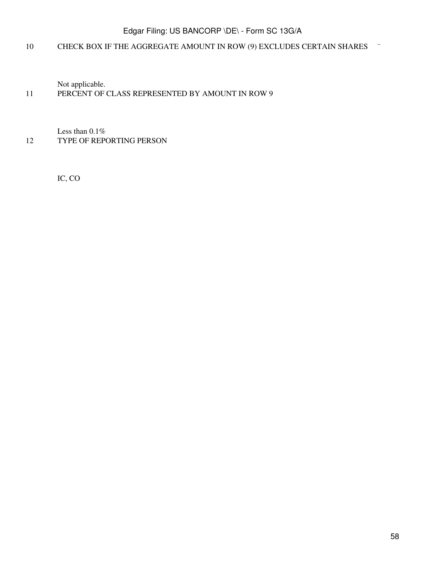# 10 CHECK BOX IF THE AGGREGATE AMOUNT IN ROW (9) EXCLUDES CERTAIN SHARES ¨

Not applicable.

### 11 PERCENT OF CLASS REPRESENTED BY AMOUNT IN ROW 9

Less than 0.1% 12 TYPE OF REPORTING PERSON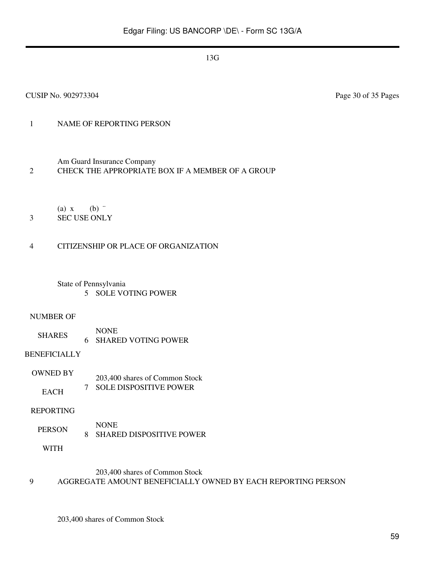CUSIP No. 902973304 Page 30 of 35 Pages

# 1 NAME OF REPORTING PERSON

Am Guard Insurance Company

### 2 CHECK THE APPROPRIATE BOX IF A MEMBER OF A GROUP

(a)  $x$  (b)  $\dddot{ }$ 

3 SEC USE ONLY

### 4 CITIZENSHIP OR PLACE OF ORGANIZATION

State of Pennsylvania 5 SOLE VOTING POWER

#### NUMBER OF

SHARES NONE 6 SHARED VOTING POWER

#### BENEFICIALLY

OWNED BY **EACH** 203,400 shares of Common Stock 7 SOLE DISPOSITIVE POWER

#### REPORTING

PERSON NONE 8 SHARED DISPOSITIVE POWER

WITH

### 203,400 shares of Common Stock

#### 9 AGGREGATE AMOUNT BENEFICIALLY OWNED BY EACH REPORTING PERSON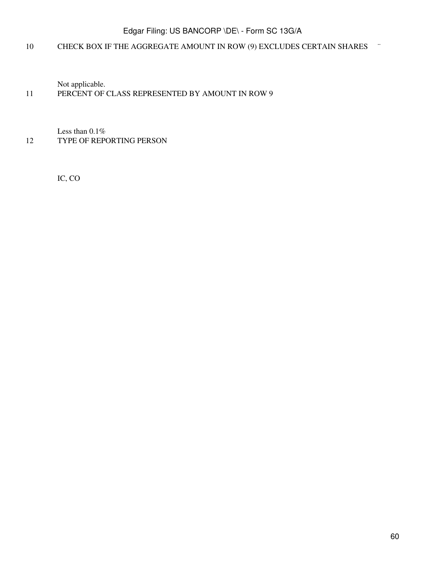# 10 CHECK BOX IF THE AGGREGATE AMOUNT IN ROW (9) EXCLUDES CERTAIN SHARES ¨

Not applicable.

### 11 PERCENT OF CLASS REPRESENTED BY AMOUNT IN ROW 9

Less than 0.1% 12 TYPE OF REPORTING PERSON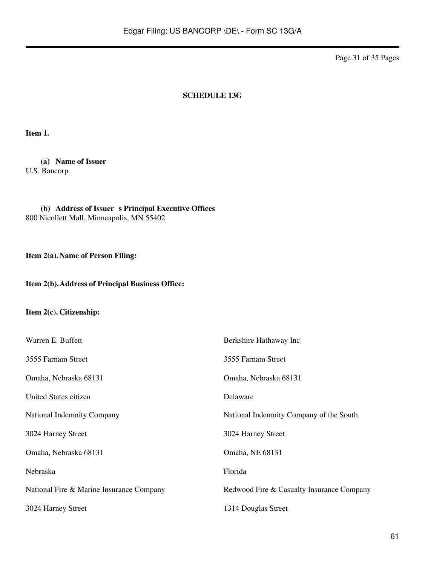Page 31 of 35 Pages

#### **SCHEDULE 13G**

**Item 1.**

**(a) Name of Issuer** U.S. Bancorp

(b) **Address of Issuer s Principal Executive Offices** 800 Nicollett Mall, Minneapolis, MN 55402

**Item 2(a).Name of Person Filing:**

### **Item 2(b).Address of Principal Business Office:**

### **Item 2(c). Citizenship:**

| Warren E. Buffett                        | Berkshire Hathaway Inc.                   |
|------------------------------------------|-------------------------------------------|
| 3555 Farnam Street                       | 3555 Farnam Street                        |
| Omaha, Nebraska 68131                    | Omaha, Nebraska 68131                     |
| United States citizen                    | Delaware                                  |
| National Indemnity Company               | National Indemnity Company of the South   |
| 3024 Harney Street                       | 3024 Harney Street                        |
| Omaha, Nebraska 68131                    | Omaha, NE 68131                           |
| Nebraska                                 | Florida                                   |
| National Fire & Marine Insurance Company | Redwood Fire & Casualty Insurance Company |
| 3024 Harney Street                       | 1314 Douglas Street                       |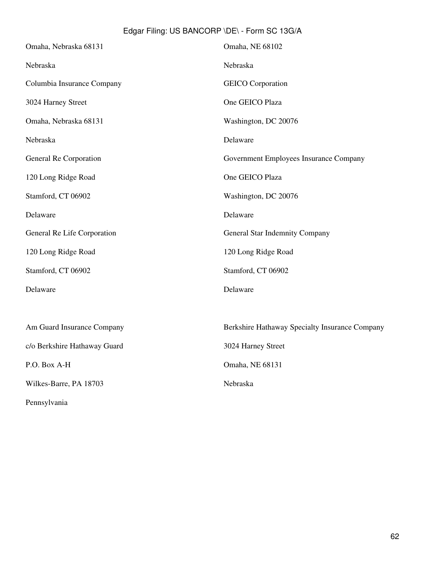| Omaha, Nebraska 68131        | Omaha, NE 68102                                |
|------------------------------|------------------------------------------------|
| Nebraska                     | Nebraska                                       |
| Columbia Insurance Company   | <b>GEICO</b> Corporation                       |
| 3024 Harney Street           | One GEICO Plaza                                |
| Omaha, Nebraska 68131        | Washington, DC 20076                           |
| Nebraska                     | Delaware                                       |
| General Re Corporation       | Government Employees Insurance Company         |
| 120 Long Ridge Road          | One GEICO Plaza                                |
| Stamford, CT 06902           | Washington, DC 20076                           |
| Delaware                     | Delaware                                       |
| General Re Life Corporation  | General Star Indemnity Company                 |
| 120 Long Ridge Road          | 120 Long Ridge Road                            |
| Stamford, CT 06902           | Stamford, CT 06902                             |
| Delaware                     | Delaware                                       |
|                              |                                                |
| Am Guard Insurance Company   | Berkshire Hathaway Specialty Insurance Company |
| c/o Berkshire Hathaway Guard | 3024 Harney Street                             |
| P.O. Box A-H                 | Omaha, NE 68131                                |
| Wilkes-Barre, PA 18703       | Nebraska                                       |
| Pennsylvania                 |                                                |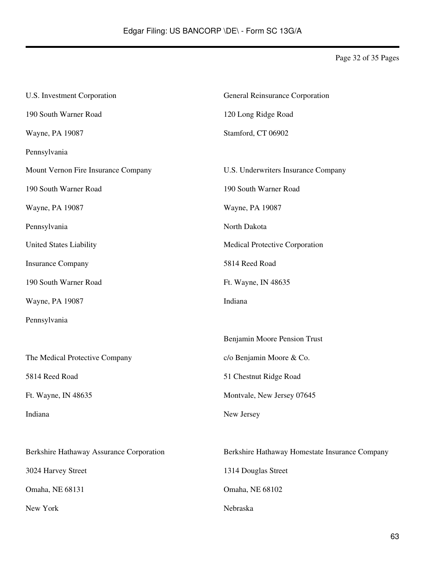Page 32 of 35 Pages

| U.S. Investment Corporation              | General Reinsurance Corporation                |  |
|------------------------------------------|------------------------------------------------|--|
| 190 South Warner Road                    | 120 Long Ridge Road                            |  |
| Wayne, PA 19087                          | Stamford, CT 06902                             |  |
| Pennsylvania                             |                                                |  |
| Mount Vernon Fire Insurance Company      | U.S. Underwriters Insurance Company            |  |
| 190 South Warner Road                    | 190 South Warner Road                          |  |
| Wayne, PA 19087                          | Wayne, PA 19087                                |  |
| Pennsylvania                             | North Dakota                                   |  |
| United States Liability                  | Medical Protective Corporation                 |  |
| <b>Insurance Company</b>                 | 5814 Reed Road                                 |  |
| 190 South Warner Road                    | Ft. Wayne, IN 48635                            |  |
| Wayne, PA 19087                          | Indiana                                        |  |
| Pennsylvania                             |                                                |  |
|                                          | Benjamin Moore Pension Trust                   |  |
| The Medical Protective Company           | c/o Benjamin Moore & Co.                       |  |
| 5814 Reed Road                           | 51 Chestnut Ridge Road                         |  |
| Ft. Wayne, IN 48635                      | Montvale, New Jersey 07645                     |  |
| Indiana                                  | New Jersey                                     |  |
|                                          |                                                |  |
| Berkshire Hathaway Assurance Corporation | Berkshire Hathaway Homestate Insurance Company |  |
| 3024 Harvey Street                       | 1314 Douglas Street                            |  |
| Omaha, NE 68131                          | Omaha, NE 68102                                |  |
| New York                                 | Nebraska                                       |  |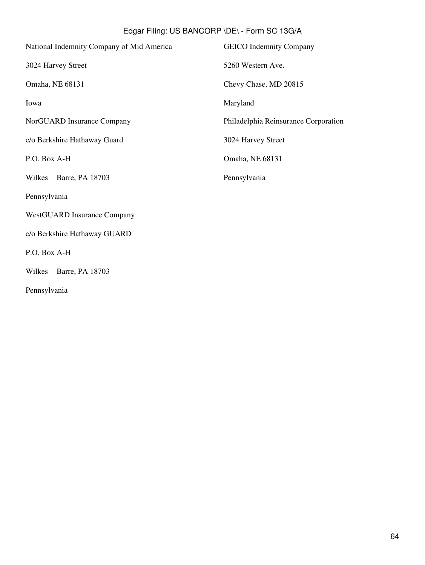| National Indemnity Company of Mid America | <b>GEICO</b> Indemnity Company       |
|-------------------------------------------|--------------------------------------|
| 3024 Harvey Street                        | 5260 Western Ave.                    |
| Omaha, NE 68131                           | Chevy Chase, MD 20815                |
| Iowa                                      | Maryland                             |
| NorGUARD Insurance Company                | Philadelphia Reinsurance Corporation |
| c/o Berkshire Hathaway Guard              | 3024 Harvey Street                   |
| P.O. Box A-H                              | Omaha, NE 68131                      |
| Wilkes<br>Barre, PA 18703                 | Pennsylvania                         |
| Pennsylvania                              |                                      |
| <b>WestGUARD Insurance Company</b>        |                                      |
| c/o Berkshire Hathaway GUARD              |                                      |
| P.O. Box A-H                              |                                      |
| Barre, PA 18703<br>Wilkes                 |                                      |
|                                           |                                      |

Pennsylvania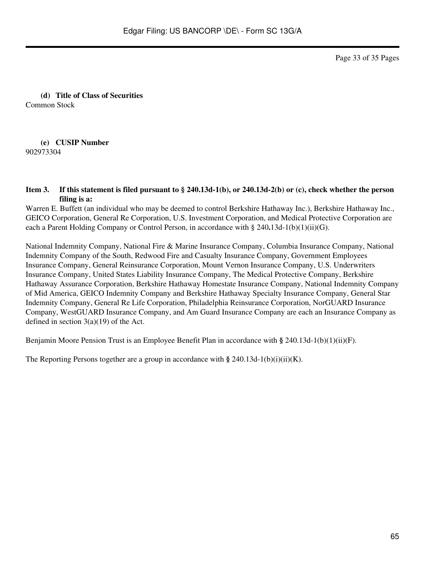Page 33 of 35 Pages

**(d) Title of Class of Securities** Common Stock

**(e) CUSIP Number** 902973304

#### **Item 3. If this statement is filed pursuant to § 240.13d-1(b), or 240.13d-2(b) or (c), check whether the person filing is a:**

Warren E. Buffett (an individual who may be deemed to control Berkshire Hathaway Inc.), Berkshire Hathaway Inc., GEICO Corporation, General Re Corporation, U.S. Investment Corporation, and Medical Protective Corporation are each a Parent Holding Company or Control Person, in accordance with § 240**.**13d-1(b)(1)(ii)(G).

National Indemnity Company, National Fire & Marine Insurance Company, Columbia Insurance Company, National Indemnity Company of the South, Redwood Fire and Casualty Insurance Company, Government Employees Insurance Company, General Reinsurance Corporation, Mount Vernon Insurance Company, U.S. Underwriters Insurance Company, United States Liability Insurance Company, The Medical Protective Company, Berkshire Hathaway Assurance Corporation, Berkshire Hathaway Homestate Insurance Company, National Indemnity Company of Mid America, GEICO Indemnity Company and Berkshire Hathaway Specialty Insurance Company, General Star Indemnity Company, General Re Life Corporation, Philadelphia Reinsurance Corporation, NorGUARD Insurance Company, WestGUARD Insurance Company, and Am Guard Insurance Company are each an Insurance Company as defined in section  $3(a)(19)$  of the Act.

Benjamin Moore Pension Trust is an Employee Benefit Plan in accordance with **§** 240.13d-1(b)(1)(ii)(F).

The Reporting Persons together are a group in accordance with  $\S$  240.13d-1(b)(i)(ii)(K).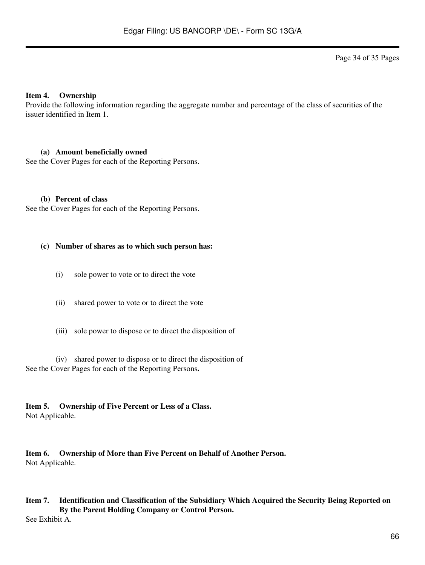Page 34 of 35 Pages

#### **Item 4. Ownership**

Provide the following information regarding the aggregate number and percentage of the class of securities of the issuer identified in Item 1.

#### **(a) Amount beneficially owned**

See the Cover Pages for each of the Reporting Persons.

#### **(b) Percent of class**

See the Cover Pages for each of the Reporting Persons.

#### **(c) Number of shares as to which such person has:**

- (i) sole power to vote or to direct the vote
- (ii) shared power to vote or to direct the vote
- (iii) sole power to dispose or to direct the disposition of

(iv) shared power to dispose or to direct the disposition of See the Cover Pages for each of the Reporting Persons**.**

**Item 5. Ownership of Five Percent or Less of a Class.** Not Applicable.

**Item 6. Ownership of More than Five Percent on Behalf of Another Person.** Not Applicable.

# **Item 7. Identification and Classification of the Subsidiary Which Acquired the Security Being Reported on By the Parent Holding Company or Control Person.**

See Exhibit A.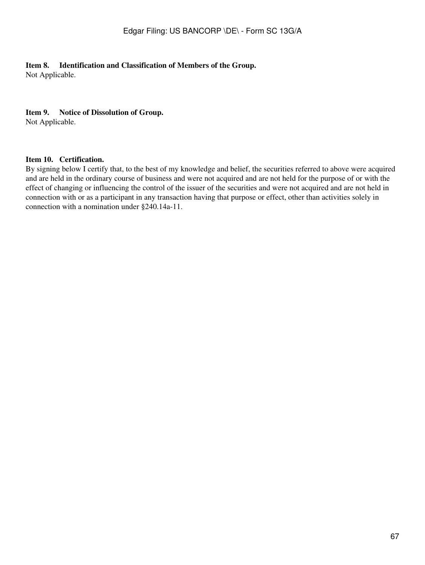### **Item 8. Identification and Classification of Members of the Group.**

Not Applicable.

#### **Item 9. Notice of Dissolution of Group.**

Not Applicable.

### **Item 10. Certification.**

By signing below I certify that, to the best of my knowledge and belief, the securities referred to above were acquired and are held in the ordinary course of business and were not acquired and are not held for the purpose of or with the effect of changing or influencing the control of the issuer of the securities and were not acquired and are not held in connection with or as a participant in any transaction having that purpose or effect, other than activities solely in connection with a nomination under §240.14a-11.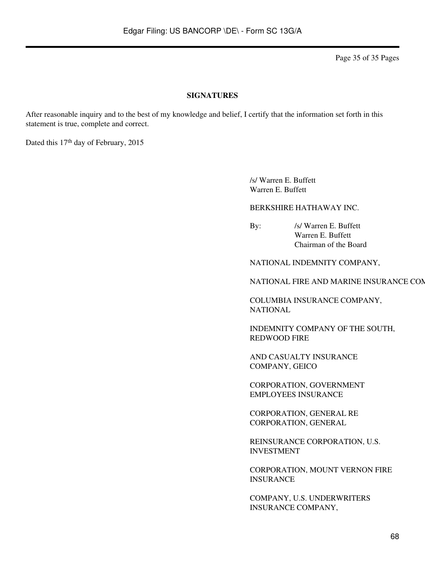Page 35 of 35 Pages

#### **SIGNATURES**

After reasonable inquiry and to the best of my knowledge and belief, I certify that the information set forth in this statement is true, complete and correct.

Dated this 17<sup>th</sup> day of February, 2015

/s/ Warren E. Buffett Warren E. Buffett

BERKSHIRE HATHAWAY INC.

By: /s/ Warren E. Buffett Warren E. Buffett Chairman of the Board

NATIONAL INDEMNITY COMPANY,

NATIONAL FIRE AND MARINE INSURANCE CON

COLUMBIA INSURANCE COMPANY, NATIONAL

INDEMNITY COMPANY OF THE SOUTH, REDWOOD FIRE

AND CASUALTY INSURANCE COMPANY, GEICO

CORPORATION, GOVERNMENT EMPLOYEES INSURANCE

CORPORATION, GENERAL RE CORPORATION, GENERAL

REINSURANCE CORPORATION, U.S. INVESTMENT

CORPORATION, MOUNT VERNON FIRE INSURANCE

COMPANY, U.S. UNDERWRITERS INSURANCE COMPANY,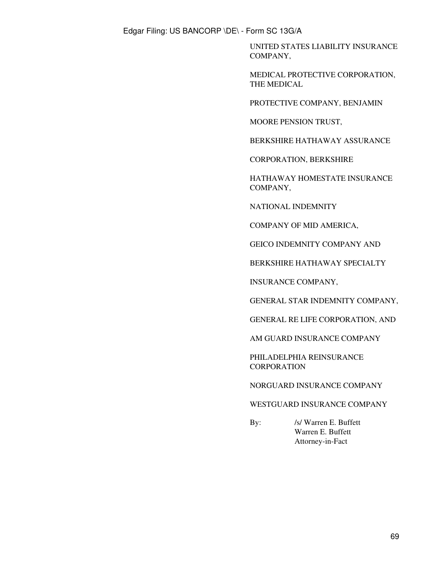UNITED STATES LIABILITY INSURANCE COMPANY,

MEDICAL PROTECTIVE CORPORATION, THE MEDICAL

PROTECTIVE COMPANY, BENJAMIN

MOORE PENSION TRUST,

BERKSHIRE HATHAWAY ASSURANCE

CORPORATION, BERKSHIRE

HATHAWAY HOMESTATE INSURANCE COMPANY,

NATIONAL INDEMNITY

COMPANY OF MID AMERICA,

GEICO INDEMNITY COMPANY AND

BERKSHIRE HATHAWAY SPECIALTY

INSURANCE COMPANY,

GENERAL STAR INDEMNITY COMPANY,

GENERAL RE LIFE CORPORATION, AND

AM GUARD INSURANCE COMPANY

PHILADELPHIA REINSURANCE **CORPORATION** 

NORGUARD INSURANCE COMPANY

### WESTGUARD INSURANCE COMPANY

By: /s/ Warren E. Buffett Warren E. Buffett Attorney-in-Fact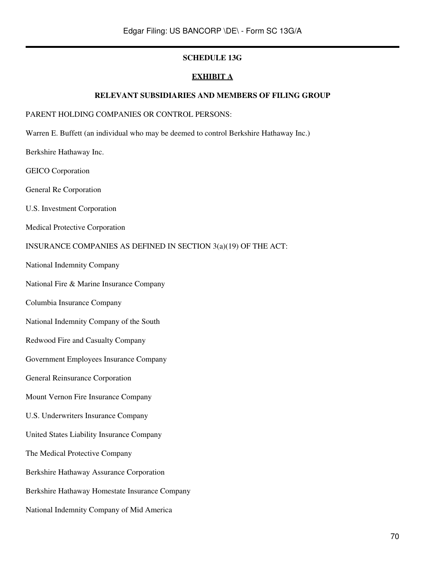### **SCHEDULE 13G**

#### **EXHIBIT A**

#### **RELEVANT SUBSIDIARIES AND MEMBERS OF FILING GROUP**

#### PARENT HOLDING COMPANIES OR CONTROL PERSONS:

- Warren E. Buffett (an individual who may be deemed to control Berkshire Hathaway Inc.)
- Berkshire Hathaway Inc.
- GEICO Corporation
- General Re Corporation
- U.S. Investment Corporation
- Medical Protective Corporation

#### INSURANCE COMPANIES AS DEFINED IN SECTION 3(a)(19) OF THE ACT:

- National Indemnity Company
- National Fire & Marine Insurance Company
- Columbia Insurance Company
- National Indemnity Company of the South
- Redwood Fire and Casualty Company
- Government Employees Insurance Company
- General Reinsurance Corporation
- Mount Vernon Fire Insurance Company
- U.S. Underwriters Insurance Company
- United States Liability Insurance Company
- The Medical Protective Company
- Berkshire Hathaway Assurance Corporation
- Berkshire Hathaway Homestate Insurance Company
- National Indemnity Company of Mid America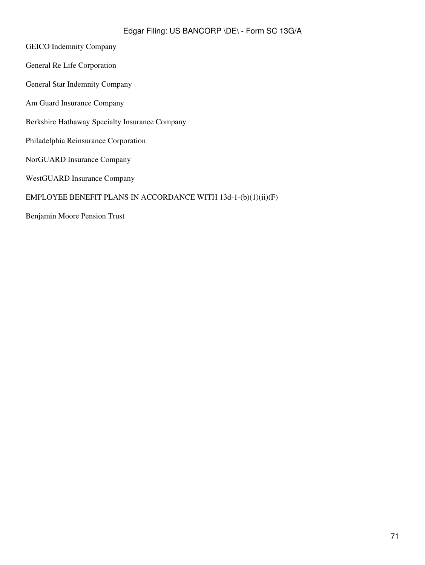- GEICO Indemnity Company
- General Re Life Corporation
- General Star Indemnity Company
- Am Guard Insurance Company
- Berkshire Hathaway Specialty Insurance Company
- Philadelphia Reinsurance Corporation
- NorGUARD Insurance Company
- WestGUARD Insurance Company

### EMPLOYEE BENEFIT PLANS IN ACCORDANCE WITH 13d-1-(b)(1)(ii)(F)

Benjamin Moore Pension Trust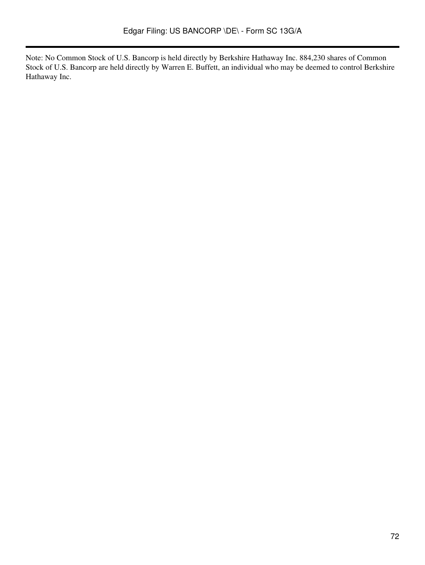Note: No Common Stock of U.S. Bancorp is held directly by Berkshire Hathaway Inc. 884,230 shares of Common Stock of U.S. Bancorp are held directly by Warren E. Buffett, an individual who may be deemed to control Berkshire Hathaway Inc.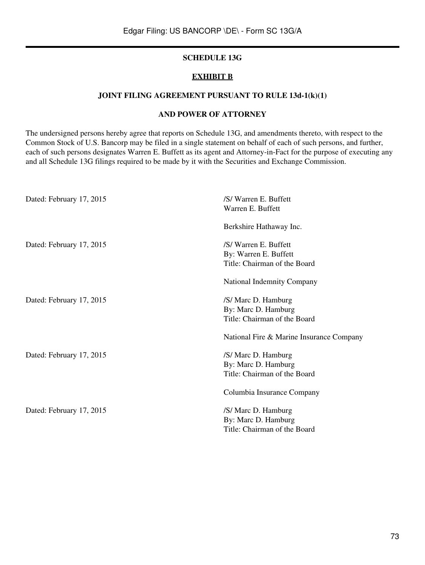## **SCHEDULE 13G**

## **EXHIBIT B**

## **JOINT FILING AGREEMENT PURSUANT TO RULE 13d-1(k)(1)**

## **AND POWER OF ATTORNEY**

The undersigned persons hereby agree that reports on Schedule 13G, and amendments thereto, with respect to the Common Stock of U.S. Bancorp may be filed in a single statement on behalf of each of such persons, and further, each of such persons designates Warren E. Buffett as its agent and Attorney-in-Fact for the purpose of executing any and all Schedule 13G filings required to be made by it with the Securities and Exchange Commission.

| Dated: February 17, 2015 | /S/Warren E. Buffett<br>Warren E. Buffett |
|--------------------------|-------------------------------------------|
|                          | Berkshire Hathaway Inc.                   |
| Dated: February 17, 2015 | /S/Warren E. Buffett                      |
|                          | By: Warren E. Buffett                     |
|                          | Title: Chairman of the Board              |
|                          | National Indemnity Company                |
| Dated: February 17, 2015 | /S/ Marc D. Hamburg                       |
|                          | By: Marc D. Hamburg                       |
|                          | Title: Chairman of the Board              |
|                          | National Fire & Marine Insurance Company  |
| Dated: February 17, 2015 | /S/ Marc D. Hamburg                       |
|                          | By: Marc D. Hamburg                       |
|                          | Title: Chairman of the Board              |
|                          | Columbia Insurance Company                |
| Dated: February 17, 2015 | /S/ Marc D. Hamburg                       |
|                          | By: Marc D. Hamburg                       |
|                          | Title: Chairman of the Board              |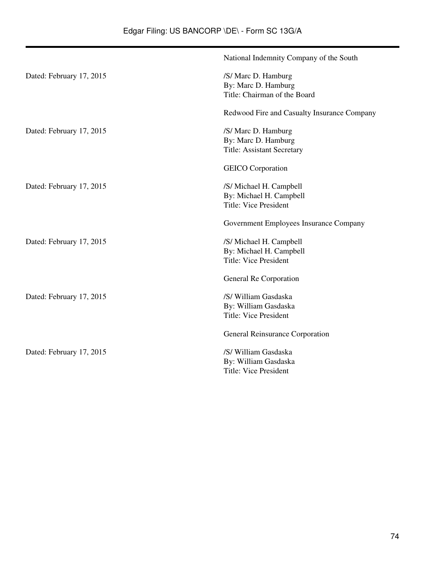|                          | National Indemnity Company of the South     |
|--------------------------|---------------------------------------------|
| Dated: February 17, 2015 | /S/ Marc D. Hamburg                         |
|                          | By: Marc D. Hamburg                         |
|                          | Title: Chairman of the Board                |
|                          | Redwood Fire and Casualty Insurance Company |
| Dated: February 17, 2015 | /S/ Marc D. Hamburg                         |
|                          | By: Marc D. Hamburg                         |
|                          | <b>Title: Assistant Secretary</b>           |
|                          | <b>GEICO</b> Corporation                    |
| Dated: February 17, 2015 | /S/ Michael H. Campbell                     |
|                          | By: Michael H. Campbell                     |
|                          | <b>Title: Vice President</b>                |
|                          | Government Employees Insurance Company      |
| Dated: February 17, 2015 | /S/ Michael H. Campbell                     |
|                          | By: Michael H. Campbell                     |
|                          | <b>Title: Vice President</b>                |
|                          | General Re Corporation                      |
| Dated: February 17, 2015 | /S/ William Gasdaska                        |
|                          | By: William Gasdaska                        |
|                          | <b>Title: Vice President</b>                |
|                          | General Reinsurance Corporation             |
| Dated: February 17, 2015 | /S/ William Gasdaska                        |
|                          | By: William Gasdaska                        |
|                          | <b>Title: Vice President</b>                |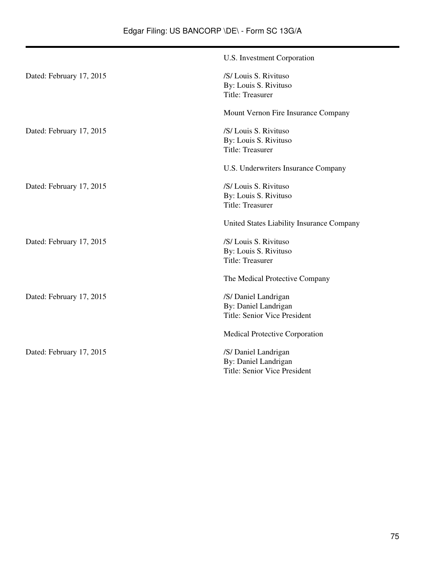|                          | U.S. Investment Corporation                                                         |
|--------------------------|-------------------------------------------------------------------------------------|
| Dated: February 17, 2015 | /S/ Louis S. Rivituso<br>By: Louis S. Rivituso<br>Title: Treasurer                  |
|                          | Mount Vernon Fire Insurance Company                                                 |
| Dated: February 17, 2015 | /S/ Louis S. Rivituso<br>By: Louis S. Rivituso<br>Title: Treasurer                  |
|                          | U.S. Underwriters Insurance Company                                                 |
| Dated: February 17, 2015 | /S/ Louis S. Rivituso<br>By: Louis S. Rivituso<br><b>Title: Treasurer</b>           |
|                          | United States Liability Insurance Company                                           |
| Dated: February 17, 2015 | /S/ Louis S. Rivituso<br>By: Louis S. Rivituso<br>Title: Treasurer                  |
|                          | The Medical Protective Company                                                      |
| Dated: February 17, 2015 | /S/ Daniel Landrigan<br>By: Daniel Landrigan<br><b>Title: Senior Vice President</b> |
|                          | Medical Protective Corporation                                                      |
| Dated: February 17, 2015 | /S/ Daniel Landrigan<br>By: Daniel Landrigan<br><b>Title: Senior Vice President</b> |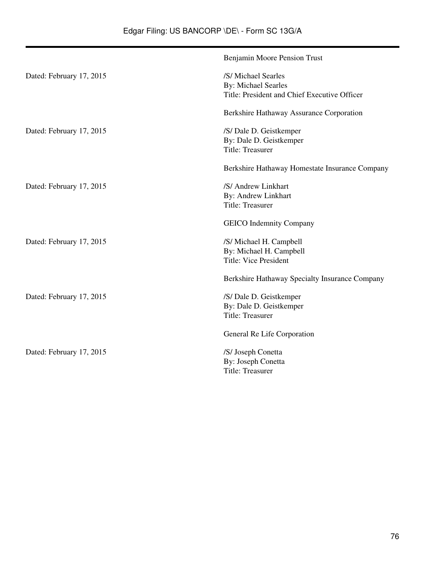|                          | Benjamin Moore Pension Trust                                                                      |
|--------------------------|---------------------------------------------------------------------------------------------------|
| Dated: February 17, 2015 | /S/ Michael Searles<br><b>By: Michael Searles</b><br>Title: President and Chief Executive Officer |
|                          | Berkshire Hathaway Assurance Corporation                                                          |
| Dated: February 17, 2015 | /S/ Dale D. Geistkemper<br>By: Dale D. Geistkemper<br><b>Title: Treasurer</b>                     |
|                          | Berkshire Hathaway Homestate Insurance Company                                                    |
| Dated: February 17, 2015 | /S/ Andrew Linkhart<br>By: Andrew Linkhart<br><b>Title: Treasurer</b>                             |
|                          | <b>GEICO</b> Indemnity Company                                                                    |
| Dated: February 17, 2015 | /S/ Michael H. Campbell<br>By: Michael H. Campbell<br><b>Title: Vice President</b>                |
|                          | Berkshire Hathaway Specialty Insurance Company                                                    |
| Dated: February 17, 2015 | /S/ Dale D. Geistkemper<br>By: Dale D. Geistkemper<br><b>Title: Treasurer</b>                     |
|                          | General Re Life Corporation                                                                       |
| Dated: February 17, 2015 | /S/ Joseph Conetta<br>By: Joseph Conetta<br>Title: Treasurer                                      |